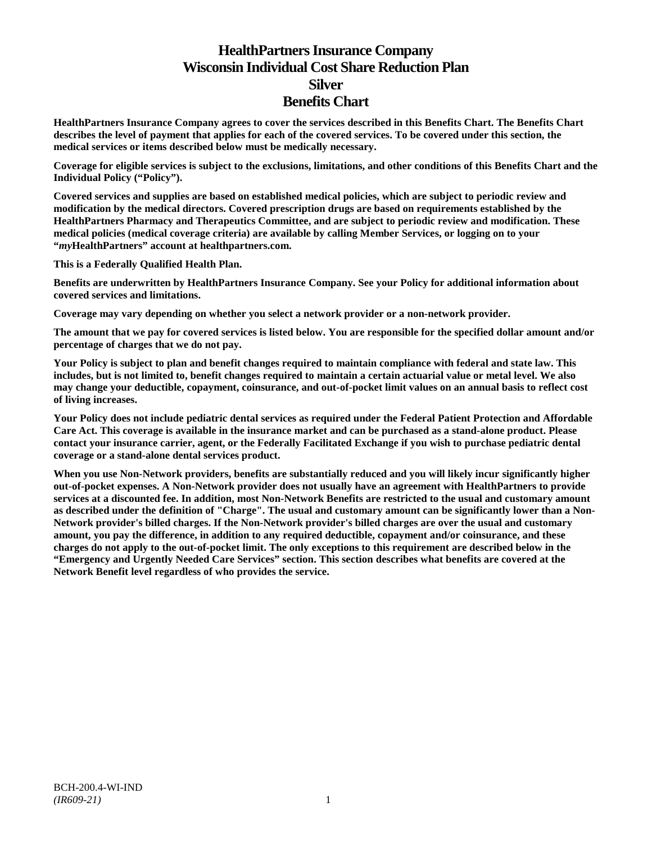# **HealthPartners Insurance Company Wisconsin Individual Cost Share Reduction Plan Silver Benefits Chart**

**HealthPartners Insurance Company agrees to cover the services described in this Benefits Chart. The Benefits Chart describes the level of payment that applies for each of the covered services. To be covered under this section, the medical services or items described below must be medically necessary.**

**Coverage for eligible services is subject to the exclusions, limitations, and other conditions of this Benefits Chart and the Individual Policy ("Policy").**

**Covered services and supplies are based on established medical policies, which are subject to periodic review and modification by the medical directors. Covered prescription drugs are based on requirements established by the HealthPartners Pharmacy and Therapeutics Committee, and are subject to periodic review and modification. These medical policies (medical coverage criteria) are available by calling Member Services, or logging on to your "***my***HealthPartners" account at [healthpartners.com.](http://www.healthpartners.com/)**

**This is a Federally Qualified Health Plan.**

**Benefits are underwritten by HealthPartners Insurance Company. See your Policy for additional information about covered services and limitations.**

**Coverage may vary depending on whether you select a network provider or a non-network provider.**

**The amount that we pay for covered services is listed below. You are responsible for the specified dollar amount and/or percentage of charges that we do not pay.**

**Your Policy is subject to plan and benefit changes required to maintain compliance with federal and state law. This includes, but is not limited to, benefit changes required to maintain a certain actuarial value or metal level. We also may change your deductible, copayment, coinsurance, and out-of-pocket limit values on an annual basis to reflect cost of living increases.**

**Your Policy does not include pediatric dental services as required under the Federal Patient Protection and Affordable Care Act. This coverage is available in the insurance market and can be purchased as a stand-alone product. Please contact your insurance carrier, agent, or the Federally Facilitated Exchange if you wish to purchase pediatric dental coverage or a stand-alone dental services product.**

**When you use Non-Network providers, benefits are substantially reduced and you will likely incur significantly higher out-of-pocket expenses. A Non-Network provider does not usually have an agreement with HealthPartners to provide services at a discounted fee. In addition, most Non-Network Benefits are restricted to the usual and customary amount as described under the definition of "Charge". The usual and customary amount can be significantly lower than a Non-Network provider's billed charges. If the Non-Network provider's billed charges are over the usual and customary amount, you pay the difference, in addition to any required deductible, copayment and/or coinsurance, and these charges do not apply to the out-of-pocket limit. The only exceptions to this requirement are described below in the "Emergency and Urgently Needed Care Services" section. This section describes what benefits are covered at the Network Benefit level regardless of who provides the service.**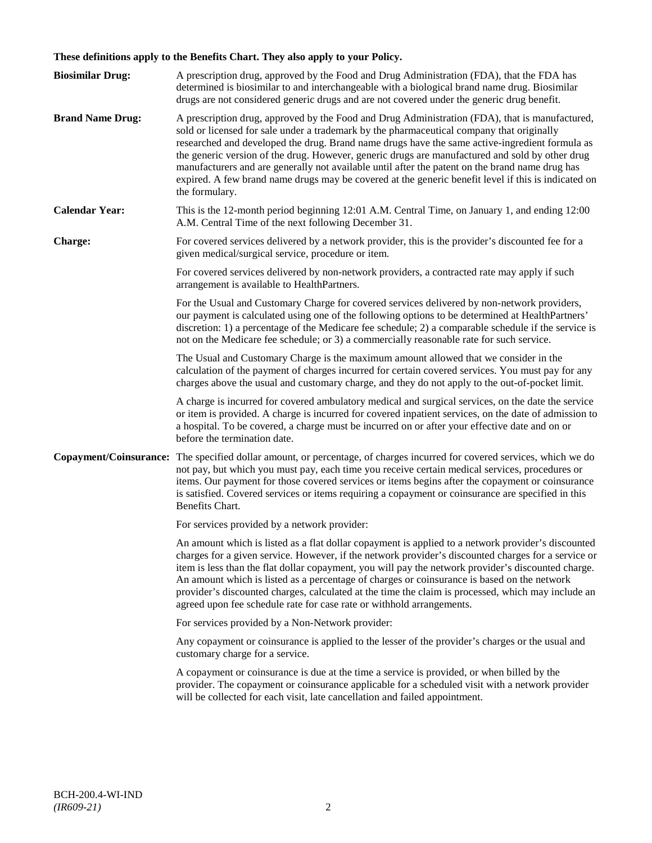# **These definitions apply to the Benefits Chart. They also apply to your Policy.**

| <b>Biosimilar Drug:</b> | A prescription drug, approved by the Food and Drug Administration (FDA), that the FDA has<br>determined is biosimilar to and interchangeable with a biological brand name drug. Biosimilar<br>drugs are not considered generic drugs and are not covered under the generic drug benefit.                                                                                                                                                                                                                                                                                                                                     |
|-------------------------|------------------------------------------------------------------------------------------------------------------------------------------------------------------------------------------------------------------------------------------------------------------------------------------------------------------------------------------------------------------------------------------------------------------------------------------------------------------------------------------------------------------------------------------------------------------------------------------------------------------------------|
| <b>Brand Name Drug:</b> | A prescription drug, approved by the Food and Drug Administration (FDA), that is manufactured,<br>sold or licensed for sale under a trademark by the pharmaceutical company that originally<br>researched and developed the drug. Brand name drugs have the same active-ingredient formula as<br>the generic version of the drug. However, generic drugs are manufactured and sold by other drug<br>manufacturers and are generally not available until after the patent on the brand name drug has<br>expired. A few brand name drugs may be covered at the generic benefit level if this is indicated on<br>the formulary. |
| <b>Calendar Year:</b>   | This is the 12-month period beginning 12:01 A.M. Central Time, on January 1, and ending 12:00<br>A.M. Central Time of the next following December 31.                                                                                                                                                                                                                                                                                                                                                                                                                                                                        |
| Charge:                 | For covered services delivered by a network provider, this is the provider's discounted fee for a<br>given medical/surgical service, procedure or item.                                                                                                                                                                                                                                                                                                                                                                                                                                                                      |
|                         | For covered services delivered by non-network providers, a contracted rate may apply if such<br>arrangement is available to HealthPartners.                                                                                                                                                                                                                                                                                                                                                                                                                                                                                  |
|                         | For the Usual and Customary Charge for covered services delivered by non-network providers,<br>our payment is calculated using one of the following options to be determined at HealthPartners'<br>discretion: 1) a percentage of the Medicare fee schedule; 2) a comparable schedule if the service is<br>not on the Medicare fee schedule; or 3) a commercially reasonable rate for such service.                                                                                                                                                                                                                          |
|                         | The Usual and Customary Charge is the maximum amount allowed that we consider in the<br>calculation of the payment of charges incurred for certain covered services. You must pay for any<br>charges above the usual and customary charge, and they do not apply to the out-of-pocket limit.                                                                                                                                                                                                                                                                                                                                 |
|                         | A charge is incurred for covered ambulatory medical and surgical services, on the date the service<br>or item is provided. A charge is incurred for covered inpatient services, on the date of admission to<br>a hospital. To be covered, a charge must be incurred on or after your effective date and on or<br>before the termination date.                                                                                                                                                                                                                                                                                |
| Copayment/Coinsurance:  | The specified dollar amount, or percentage, of charges incurred for covered services, which we do<br>not pay, but which you must pay, each time you receive certain medical services, procedures or<br>items. Our payment for those covered services or items begins after the copayment or coinsurance<br>is satisfied. Covered services or items requiring a copayment or coinsurance are specified in this<br>Benefits Chart.                                                                                                                                                                                             |
|                         | For services provided by a network provider:                                                                                                                                                                                                                                                                                                                                                                                                                                                                                                                                                                                 |
|                         | An amount which is listed as a flat dollar copayment is applied to a network provider's discounted<br>charges for a given service. However, if the network provider's discounted charges for a service or<br>item is less than the flat dollar copayment, you will pay the network provider's discounted charge.<br>An amount which is listed as a percentage of charges or coinsurance is based on the network<br>provider's discounted charges, calculated at the time the claim is processed, which may include an<br>agreed upon fee schedule rate for case rate or withhold arrangements.                               |
|                         | For services provided by a Non-Network provider:                                                                                                                                                                                                                                                                                                                                                                                                                                                                                                                                                                             |
|                         | Any copayment or coinsurance is applied to the lesser of the provider's charges or the usual and<br>customary charge for a service.                                                                                                                                                                                                                                                                                                                                                                                                                                                                                          |
|                         | A copayment or coinsurance is due at the time a service is provided, or when billed by the<br>provider. The copayment or coinsurance applicable for a scheduled visit with a network provider<br>will be collected for each visit, late cancellation and failed appointment.                                                                                                                                                                                                                                                                                                                                                 |
|                         |                                                                                                                                                                                                                                                                                                                                                                                                                                                                                                                                                                                                                              |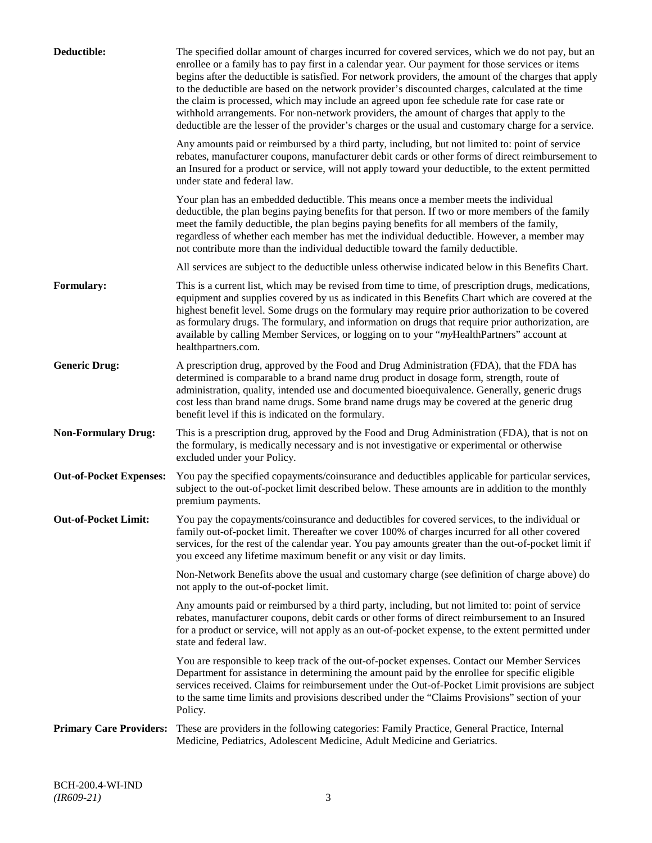| Deductible:                    | The specified dollar amount of charges incurred for covered services, which we do not pay, but an<br>enrollee or a family has to pay first in a calendar year. Our payment for those services or items<br>begins after the deductible is satisfied. For network providers, the amount of the charges that apply<br>to the deductible are based on the network provider's discounted charges, calculated at the time<br>the claim is processed, which may include an agreed upon fee schedule rate for case rate or<br>withhold arrangements. For non-network providers, the amount of charges that apply to the<br>deductible are the lesser of the provider's charges or the usual and customary charge for a service. |
|--------------------------------|-------------------------------------------------------------------------------------------------------------------------------------------------------------------------------------------------------------------------------------------------------------------------------------------------------------------------------------------------------------------------------------------------------------------------------------------------------------------------------------------------------------------------------------------------------------------------------------------------------------------------------------------------------------------------------------------------------------------------|
|                                | Any amounts paid or reimbursed by a third party, including, but not limited to: point of service<br>rebates, manufacturer coupons, manufacturer debit cards or other forms of direct reimbursement to<br>an Insured for a product or service, will not apply toward your deductible, to the extent permitted<br>under state and federal law.                                                                                                                                                                                                                                                                                                                                                                            |
|                                | Your plan has an embedded deductible. This means once a member meets the individual<br>deductible, the plan begins paying benefits for that person. If two or more members of the family<br>meet the family deductible, the plan begins paying benefits for all members of the family,<br>regardless of whether each member has met the individual deductible. However, a member may<br>not contribute more than the individual deductible toward the family deductible.                                                                                                                                                                                                                                                |
|                                | All services are subject to the deductible unless otherwise indicated below in this Benefits Chart.                                                                                                                                                                                                                                                                                                                                                                                                                                                                                                                                                                                                                     |
| <b>Formulary:</b>              | This is a current list, which may be revised from time to time, of prescription drugs, medications,<br>equipment and supplies covered by us as indicated in this Benefits Chart which are covered at the<br>highest benefit level. Some drugs on the formulary may require prior authorization to be covered<br>as formulary drugs. The formulary, and information on drugs that require prior authorization, are<br>available by calling Member Services, or logging on to your "myHealthPartners" account at<br>healthpartners.com.                                                                                                                                                                                   |
| <b>Generic Drug:</b>           | A prescription drug, approved by the Food and Drug Administration (FDA), that the FDA has<br>determined is comparable to a brand name drug product in dosage form, strength, route of<br>administration, quality, intended use and documented bioequivalence. Generally, generic drugs<br>cost less than brand name drugs. Some brand name drugs may be covered at the generic drug<br>benefit level if this is indicated on the formulary.                                                                                                                                                                                                                                                                             |
| <b>Non-Formulary Drug:</b>     | This is a prescription drug, approved by the Food and Drug Administration (FDA), that is not on<br>the formulary, is medically necessary and is not investigative or experimental or otherwise<br>excluded under your Policy.                                                                                                                                                                                                                                                                                                                                                                                                                                                                                           |
| <b>Out-of-Pocket Expenses:</b> | You pay the specified copayments/coinsurance and deductibles applicable for particular services,<br>subject to the out-of-pocket limit described below. These amounts are in addition to the monthly<br>premium payments.                                                                                                                                                                                                                                                                                                                                                                                                                                                                                               |
| <b>Out-of-Pocket Limit:</b>    | You pay the copayments/coinsurance and deductibles for covered services, to the individual or<br>family out-of-pocket limit. Thereafter we cover 100% of charges incurred for all other covered<br>services, for the rest of the calendar year. You pay amounts greater than the out-of-pocket limit if<br>you exceed any lifetime maximum benefit or any visit or day limits.                                                                                                                                                                                                                                                                                                                                          |
|                                | Non-Network Benefits above the usual and customary charge (see definition of charge above) do<br>not apply to the out-of-pocket limit.                                                                                                                                                                                                                                                                                                                                                                                                                                                                                                                                                                                  |
|                                | Any amounts paid or reimbursed by a third party, including, but not limited to: point of service<br>rebates, manufacturer coupons, debit cards or other forms of direct reimbursement to an Insured<br>for a product or service, will not apply as an out-of-pocket expense, to the extent permitted under<br>state and federal law.                                                                                                                                                                                                                                                                                                                                                                                    |
|                                | You are responsible to keep track of the out-of-pocket expenses. Contact our Member Services<br>Department for assistance in determining the amount paid by the enrollee for specific eligible<br>services received. Claims for reimbursement under the Out-of-Pocket Limit provisions are subject<br>to the same time limits and provisions described under the "Claims Provisions" section of your<br>Policy.                                                                                                                                                                                                                                                                                                         |
| <b>Primary Care Providers:</b> | These are providers in the following categories: Family Practice, General Practice, Internal<br>Medicine, Pediatrics, Adolescent Medicine, Adult Medicine and Geriatrics.                                                                                                                                                                                                                                                                                                                                                                                                                                                                                                                                               |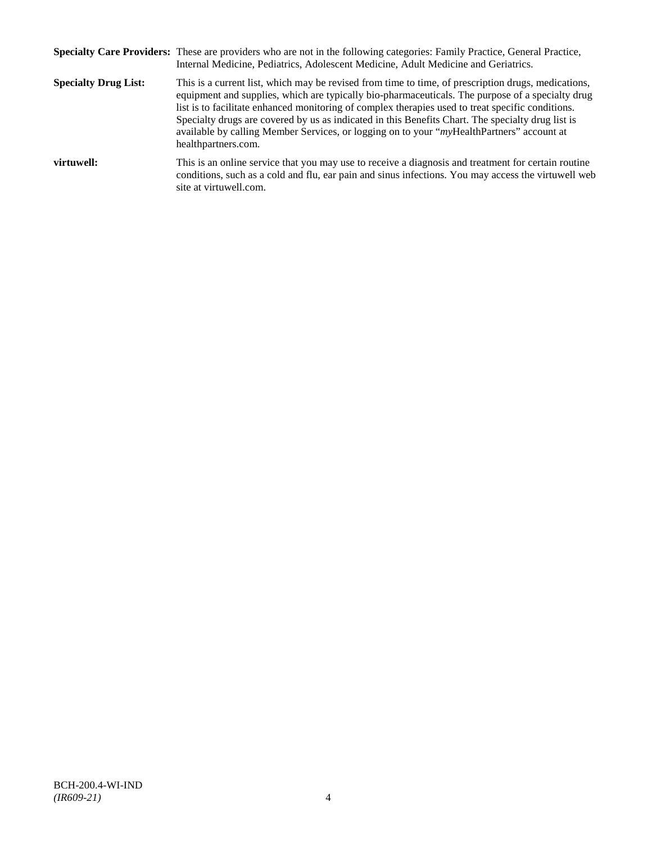|                             | Specialty Care Providers: These are providers who are not in the following categories: Family Practice, General Practice,<br>Internal Medicine, Pediatrics, Adolescent Medicine, Adult Medicine and Geriatrics.                                                                                                                                                                                                                                                                                                                       |
|-----------------------------|---------------------------------------------------------------------------------------------------------------------------------------------------------------------------------------------------------------------------------------------------------------------------------------------------------------------------------------------------------------------------------------------------------------------------------------------------------------------------------------------------------------------------------------|
| <b>Specialty Drug List:</b> | This is a current list, which may be revised from time to time, of prescription drugs, medications,<br>equipment and supplies, which are typically bio-pharmaceuticals. The purpose of a specialty drug<br>list is to facilitate enhanced monitoring of complex therapies used to treat specific conditions.<br>Specialty drugs are covered by us as indicated in this Benefits Chart. The specialty drug list is<br>available by calling Member Services, or logging on to your "myHealthPartners" account at<br>healthpartners.com. |
| virtuwell:                  | This is an online service that you may use to receive a diagnosis and treatment for certain routine<br>conditions, such as a cold and flu, ear pain and sinus infections. You may access the virtuwell web<br>site at virtuwell.com.                                                                                                                                                                                                                                                                                                  |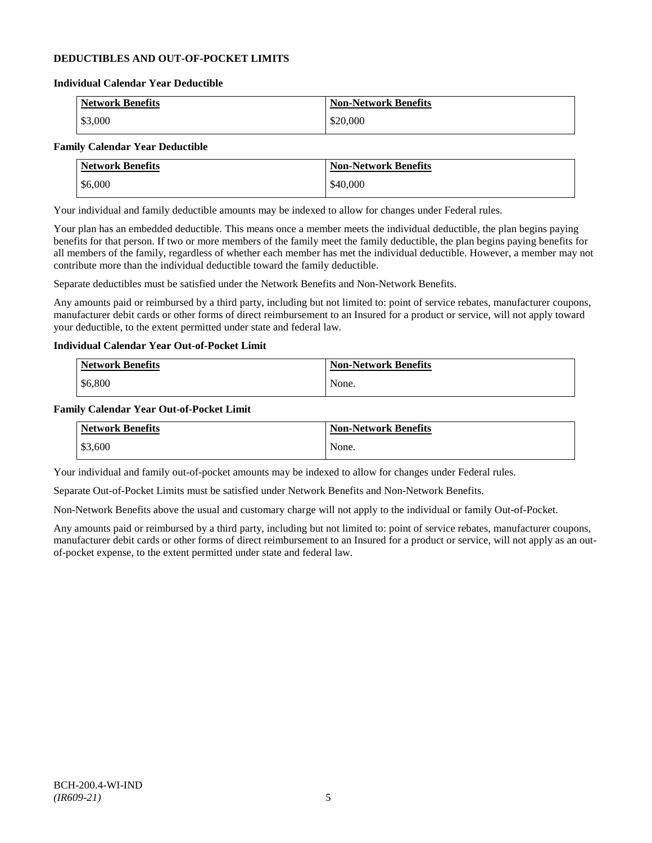### **DEDUCTIBLES AND OUT-OF-POCKET LIMITS**

#### **Individual Calendar Year Deductible**

| <b>Network Benefits</b> | <b>Non-Network Benefits</b> |
|-------------------------|-----------------------------|
| \$3,000                 | \$20,000                    |

# **Family Calendar Year Deductible**

| <b>Network Benefits</b> | <b>Non-Network Benefits</b> |
|-------------------------|-----------------------------|
| \$6,000                 | \$40,000                    |

Your individual and family deductible amounts may be indexed to allow for changes under Federal rules.

Your plan has an embedded deductible. This means once a member meets the individual deductible, the plan begins paying benefits for that person. If two or more members of the family meet the family deductible, the plan begins paying benefits for all members of the family, regardless of whether each member has met the individual deductible. However, a member may not contribute more than the individual deductible toward the family deductible.

Separate deductibles must be satisfied under the Network Benefits and Non-Network Benefits.

Any amounts paid or reimbursed by a third party, including but not limited to: point of service rebates, manufacturer coupons, manufacturer debit cards or other forms of direct reimbursement to an Insured for a product or service, will not apply toward your deductible, to the extent permitted under state and federal law.

### **Individual Calendar Year Out-of-Pocket Limit**

| <b>Network Benefits</b> | <b>Non-Network Benefits</b> |
|-------------------------|-----------------------------|
| \$6,800                 | None.                       |

### **Family Calendar Year Out-of-Pocket Limit**

| <b>Network Benefits</b> | <b>Non-Network Benefits</b> |
|-------------------------|-----------------------------|
| \$3,600                 | None.                       |

Your individual and family out-of-pocket amounts may be indexed to allow for changes under Federal rules.

Separate Out-of-Pocket Limits must be satisfied under Network Benefits and Non-Network Benefits.

Non-Network Benefits above the usual and customary charge will not apply to the individual or family Out-of-Pocket.

Any amounts paid or reimbursed by a third party, including but not limited to: point of service rebates, manufacturer coupons, manufacturer debit cards or other forms of direct reimbursement to an Insured for a product or service, will not apply as an outof-pocket expense, to the extent permitted under state and federal law.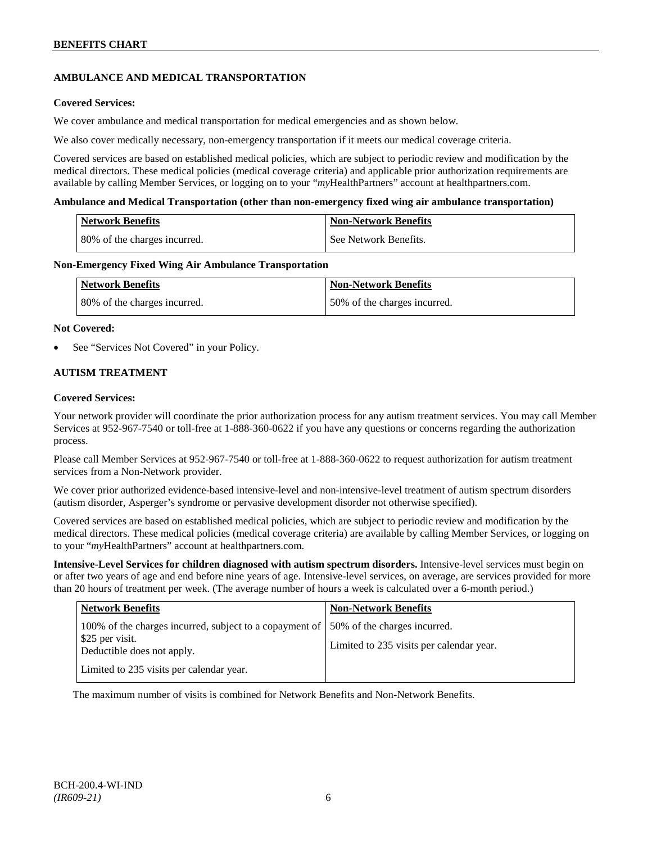# **AMBULANCE AND MEDICAL TRANSPORTATION**

### **Covered Services:**

We cover ambulance and medical transportation for medical emergencies and as shown below.

We also cover medically necessary, non-emergency transportation if it meets our medical coverage criteria.

Covered services are based on established medical policies, which are subject to periodic review and modification by the medical directors. These medical policies (medical coverage criteria) and applicable prior authorization requirements are available by calling Member Services, or logging on to your "*my*HealthPartners" account a[t healthpartners.com.](http://www.healthpartners.com/)

### **Ambulance and Medical Transportation (other than non-emergency fixed wing air ambulance transportation)**

| <b>Network Benefits</b>      | <b>Non-Network Benefits</b> |
|------------------------------|-----------------------------|
| 80% of the charges incurred. | See Network Benefits.       |

### **Non-Emergency Fixed Wing Air Ambulance Transportation**

| <b>Network Benefits</b>      | <b>Non-Network Benefits</b>  |
|------------------------------|------------------------------|
| 80% of the charges incurred. | 50% of the charges incurred. |

### **Not Covered:**

See "Services Not Covered" in your Policy.

### **AUTISM TREATMENT**

### **Covered Services:**

Your network provider will coordinate the prior authorization process for any autism treatment services. You may call Member Services at 952-967-7540 or toll-free at 1-888-360-0622 if you have any questions or concerns regarding the authorization process.

Please call Member Services at 952-967-7540 or toll-free at 1-888-360-0622 to request authorization for autism treatment services from a Non-Network provider.

We cover prior authorized evidence-based intensive-level and non-intensive-level treatment of autism spectrum disorders (autism disorder, Asperger's syndrome or pervasive development disorder not otherwise specified).

Covered services are based on established medical policies, which are subject to periodic review and modification by the medical directors. These medical policies (medical coverage criteria) are available by calling Member Services, or logging on to your "*my*HealthPartners" account at [healthpartners.com.](http://www.healthpartners.com/)

**Intensive-Level Services for children diagnosed with autism spectrum disorders.** Intensive-level services must begin on or after two years of age and end before nine years of age. Intensive-level services, on average, are services provided for more than 20 hours of treatment per week. (The average number of hours a week is calculated over a 6-month period.)

| <b>Network Benefits</b>                                                                                  | <b>Non-Network Benefits</b>                                              |
|----------------------------------------------------------------------------------------------------------|--------------------------------------------------------------------------|
| 100% of the charges incurred, subject to a copayment of<br>\$25 per visit.<br>Deductible does not apply. | 50% of the charges incurred.<br>Limited to 235 visits per calendar year. |
| Limited to 235 visits per calendar year.                                                                 |                                                                          |

The maximum number of visits is combined for Network Benefits and Non-Network Benefits.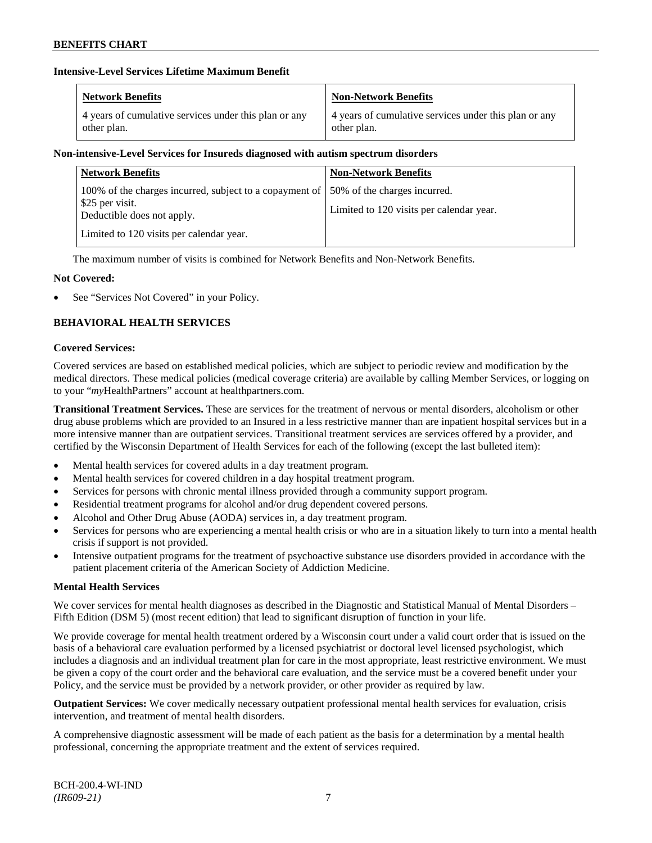### **Intensive-Level Services Lifetime Maximum Benefit**

| <b>Network Benefits</b>                               | <b>Non-Network Benefits</b>                           |
|-------------------------------------------------------|-------------------------------------------------------|
| 4 years of cumulative services under this plan or any | 4 years of cumulative services under this plan or any |
| other plan.                                           | other plan.                                           |

# **Non-intensive-Level Services for Insureds diagnosed with autism spectrum disorders**

| <b>Network Benefits</b>                                                                                    | <b>Non-Network Benefits</b>                                              |
|------------------------------------------------------------------------------------------------------------|--------------------------------------------------------------------------|
| 100% of the charges incurred, subject to a copayment of  <br>\$25 per visit.<br>Deductible does not apply. | 50% of the charges incurred.<br>Limited to 120 visits per calendar year. |
| Limited to 120 visits per calendar year.                                                                   |                                                                          |

The maximum number of visits is combined for Network Benefits and Non-Network Benefits.

### **Not Covered:**

See "Services Not Covered" in your Policy.

# **BEHAVIORAL HEALTH SERVICES**

### **Covered Services:**

Covered services are based on established medical policies, which are subject to periodic review and modification by the medical directors. These medical policies (medical coverage criteria) are available by calling Member Services, or logging on to your "*my*HealthPartners" account at [healthpartners.com.](http://www.healthpartners.com/)

**Transitional Treatment Services.** These are services for the treatment of nervous or mental disorders, alcoholism or other drug abuse problems which are provided to an Insured in a less restrictive manner than are inpatient hospital services but in a more intensive manner than are outpatient services. Transitional treatment services are services offered by a provider, and certified by the Wisconsin Department of Health Services for each of the following (except the last bulleted item):

- Mental health services for covered adults in a day treatment program.
- Mental health services for covered children in a day hospital treatment program.
- Services for persons with chronic mental illness provided through a community support program.
- Residential treatment programs for alcohol and/or drug dependent covered persons.
- Alcohol and Other Drug Abuse (AODA) services in, a day treatment program.
- Services for persons who are experiencing a mental health crisis or who are in a situation likely to turn into a mental health crisis if support is not provided.
- Intensive outpatient programs for the treatment of psychoactive substance use disorders provided in accordance with the patient placement criteria of the American Society of Addiction Medicine.

### **Mental Health Services**

We cover services for mental health diagnoses as described in the Diagnostic and Statistical Manual of Mental Disorders – Fifth Edition (DSM 5) (most recent edition) that lead to significant disruption of function in your life.

We provide coverage for mental health treatment ordered by a Wisconsin court under a valid court order that is issued on the basis of a behavioral care evaluation performed by a licensed psychiatrist or doctoral level licensed psychologist, which includes a diagnosis and an individual treatment plan for care in the most appropriate, least restrictive environment. We must be given a copy of the court order and the behavioral care evaluation, and the service must be a covered benefit under your Policy, and the service must be provided by a network provider, or other provider as required by law.

**Outpatient Services:** We cover medically necessary outpatient professional mental health services for evaluation, crisis intervention, and treatment of mental health disorders.

A comprehensive diagnostic assessment will be made of each patient as the basis for a determination by a mental health professional, concerning the appropriate treatment and the extent of services required.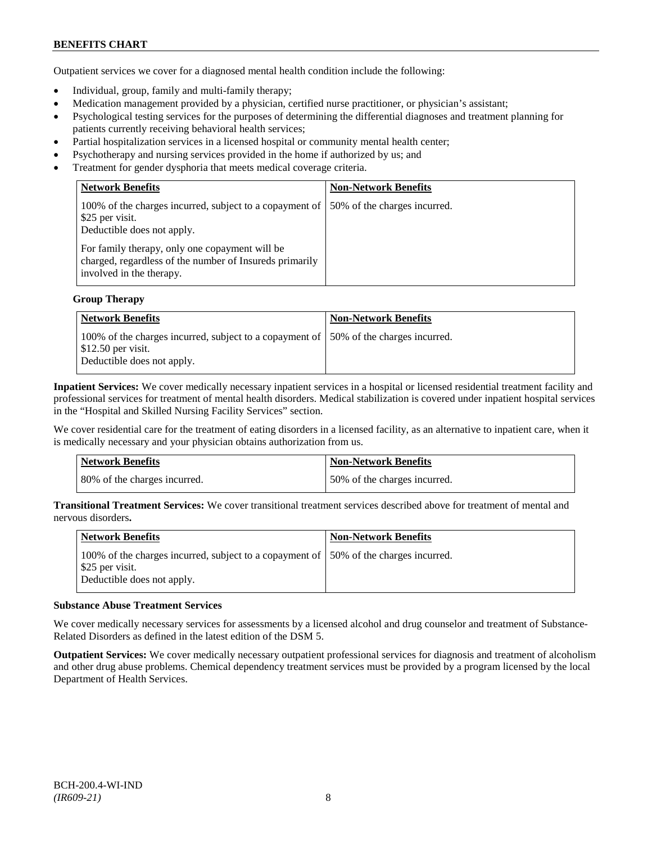# **BENEFITS CHART**

Outpatient services we cover for a diagnosed mental health condition include the following:

- Individual, group, family and multi-family therapy;
- Medication management provided by a physician, certified nurse practitioner, or physician's assistant;
- Psychological testing services for the purposes of determining the differential diagnoses and treatment planning for patients currently receiving behavioral health services;
- Partial hospitalization services in a licensed hospital or community mental health center;
- Psychotherapy and nursing services provided in the home if authorized by us; and
- Treatment for gender dysphoria that meets medical coverage criteria.

| <b>Network Benefits</b>                                                                                                               | <b>Non-Network Benefits</b>  |
|---------------------------------------------------------------------------------------------------------------------------------------|------------------------------|
| 100% of the charges incurred, subject to a copayment of<br>\$25 per visit.<br>Deductible does not apply.                              | 50% of the charges incurred. |
| For family therapy, only one copayment will be<br>charged, regardless of the number of Insureds primarily<br>involved in the therapy. |                              |

#### **Group Therapy**

| Network Benefits                                                                                                                                  | <b>Non-Network Benefits</b> |
|---------------------------------------------------------------------------------------------------------------------------------------------------|-----------------------------|
| 100% of the charges incurred, subject to a copayment of 150% of the charges incurred.<br>$\vert$ \$12.50 per visit.<br>Deductible does not apply. |                             |

**Inpatient Services:** We cover medically necessary inpatient services in a hospital or licensed residential treatment facility and professional services for treatment of mental health disorders. Medical stabilization is covered under inpatient hospital services in the "Hospital and Skilled Nursing Facility Services" section.

We cover residential care for the treatment of eating disorders in a licensed facility, as an alternative to inpatient care, when it is medically necessary and your physician obtains authorization from us.

| <b>Network Benefits</b>      | <b>Non-Network Benefits</b>  |
|------------------------------|------------------------------|
| 80% of the charges incurred. | 50% of the charges incurred. |

**Transitional Treatment Services:** We cover transitional treatment services described above for treatment of mental and nervous disorders**.**

| Network Benefits                                                                                                                      | <b>Non-Network Benefits</b> |
|---------------------------------------------------------------------------------------------------------------------------------------|-----------------------------|
| 100% of the charges incurred, subject to a copayment of 150% of the charges incurred.<br>S25 per visit.<br>Deductible does not apply. |                             |

#### **Substance Abuse Treatment Services**

We cover medically necessary services for assessments by a licensed alcohol and drug counselor and treatment of Substance-Related Disorders as defined in the latest edition of the DSM 5.

**Outpatient Services:** We cover medically necessary outpatient professional services for diagnosis and treatment of alcoholism and other drug abuse problems. Chemical dependency treatment services must be provided by a program licensed by the local Department of Health Services.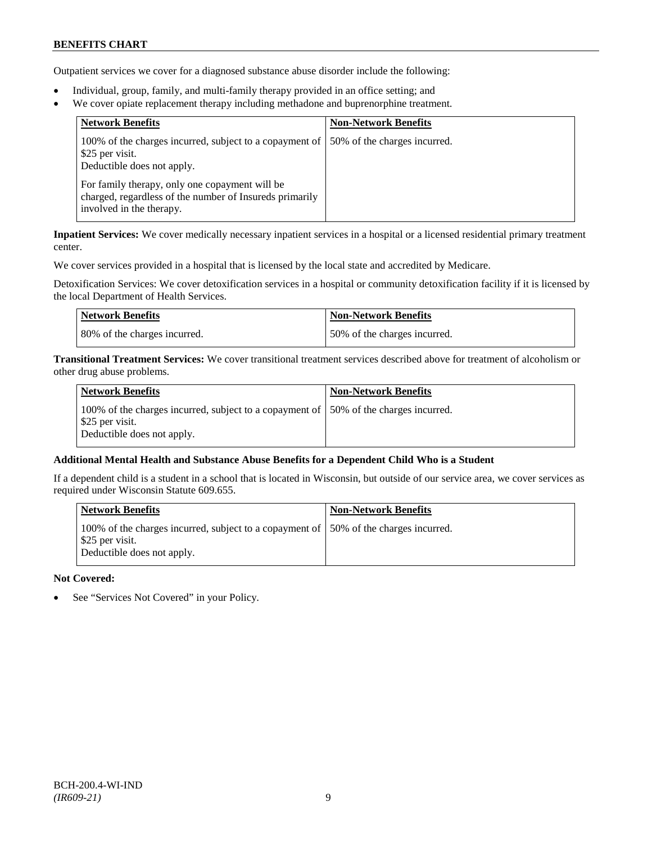Outpatient services we cover for a diagnosed substance abuse disorder include the following:

- Individual, group, family, and multi-family therapy provided in an office setting; and
- We cover opiate replacement therapy including methadone and buprenorphine treatment.

| <b>Network Benefits</b>                                                                                                                | <b>Non-Network Benefits</b> |
|----------------------------------------------------------------------------------------------------------------------------------------|-----------------------------|
| 100% of the charges incurred, subject to a copayment of 150% of the charges incurred.<br>\$25 per visit.<br>Deductible does not apply. |                             |
| For family therapy, only one copayment will be<br>charged, regardless of the number of Insureds primarily<br>involved in the therapy.  |                             |

**Inpatient Services:** We cover medically necessary inpatient services in a hospital or a licensed residential primary treatment center.

We cover services provided in a hospital that is licensed by the local state and accredited by Medicare.

Detoxification Services: We cover detoxification services in a hospital or community detoxification facility if it is licensed by the local Department of Health Services.

| <b>Network Benefits</b>       | Non-Network Benefits         |
|-------------------------------|------------------------------|
| 180% of the charges incurred. | 50% of the charges incurred. |

**Transitional Treatment Services:** We cover transitional treatment services described above for treatment of alcoholism or other drug abuse problems.

| <b>Network Benefits</b>                                                                                                               | <b>Non-Network Benefits</b> |
|---------------------------------------------------------------------------------------------------------------------------------------|-----------------------------|
| 100% of the charges incurred, subject to a copayment of 150% of the charges incurred.<br>S25 per visit.<br>Deductible does not apply. |                             |

### **Additional Mental Health and Substance Abuse Benefits for a Dependent Child Who is a Student**

If a dependent child is a student in a school that is located in Wisconsin, but outside of our service area, we cover services as required under Wisconsin Statute 609.655.

| <b>Network Benefits</b>                                                                                                                | <b>Non-Network Benefits</b> |
|----------------------------------------------------------------------------------------------------------------------------------------|-----------------------------|
| 100% of the charges incurred, subject to a copayment of 150% of the charges incurred.<br>\$25 per visit.<br>Deductible does not apply. |                             |

### **Not Covered:**

See "Services Not Covered" in your Policy.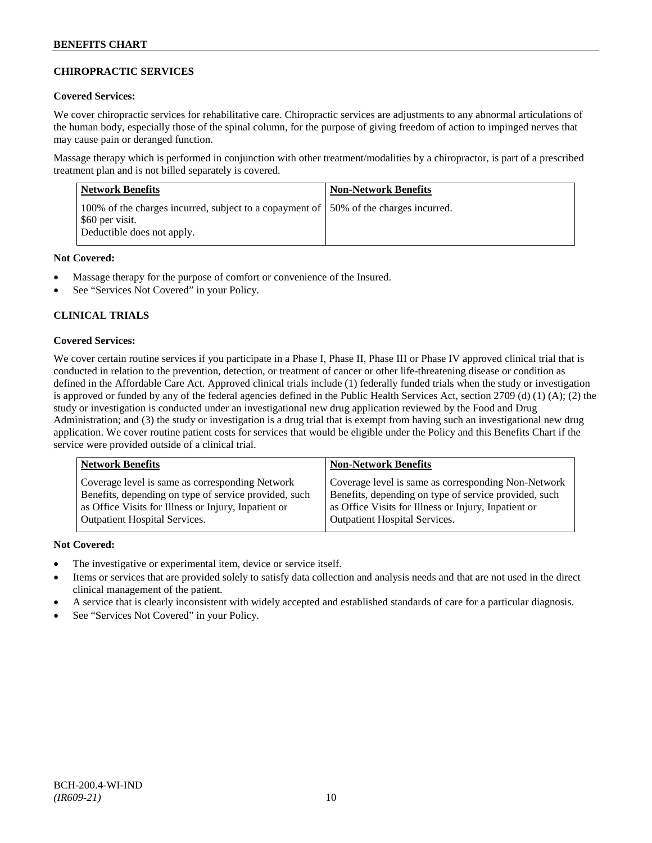### **CHIROPRACTIC SERVICES**

### **Covered Services:**

We cover chiropractic services for rehabilitative care. Chiropractic services are adjustments to any abnormal articulations of the human body, especially those of the spinal column, for the purpose of giving freedom of action to impinged nerves that may cause pain or deranged function.

Massage therapy which is performed in conjunction with other treatment/modalities by a chiropractor, is part of a prescribed treatment plan and is not billed separately is covered.

| <b>Network Benefits</b>                                                                                                                | <b>Non-Network Benefits</b> |
|----------------------------------------------------------------------------------------------------------------------------------------|-----------------------------|
| 100% of the charges incurred, subject to a copayment of 150% of the charges incurred.<br>\$60 per visit.<br>Deductible does not apply. |                             |

### **Not Covered:**

- Massage therapy for the purpose of comfort or convenience of the Insured.
- See "Services Not Covered" in your Policy.

# **CLINICAL TRIALS**

### **Covered Services:**

We cover certain routine services if you participate in a Phase I, Phase II, Phase III or Phase IV approved clinical trial that is conducted in relation to the prevention, detection, or treatment of cancer or other life-threatening disease or condition as defined in the Affordable Care Act. Approved clinical trials include (1) federally funded trials when the study or investigation is approved or funded by any of the federal agencies defined in the Public Health Services Act, section 2709 (d) (1) (A); (2) the study or investigation is conducted under an investigational new drug application reviewed by the Food and Drug Administration; and (3) the study or investigation is a drug trial that is exempt from having such an investigational new drug application. We cover routine patient costs for services that would be eligible under the Policy and this Benefits Chart if the service were provided outside of a clinical trial.

| <b>Network Benefits</b>                               | <b>Non-Network Benefits</b>                           |
|-------------------------------------------------------|-------------------------------------------------------|
| Coverage level is same as corresponding Network       | Coverage level is same as corresponding Non-Network   |
| Benefits, depending on type of service provided, such | Benefits, depending on type of service provided, such |
| as Office Visits for Illness or Injury, Inpatient or  | as Office Visits for Illness or Injury, Inpatient or  |
| <b>Outpatient Hospital Services.</b>                  | <b>Outpatient Hospital Services.</b>                  |

### **Not Covered:**

- The investigative or experimental item, device or service itself.
- Items or services that are provided solely to satisfy data collection and analysis needs and that are not used in the direct clinical management of the patient.
- A service that is clearly inconsistent with widely accepted and established standards of care for a particular diagnosis.
- See "Services Not Covered" in your Policy.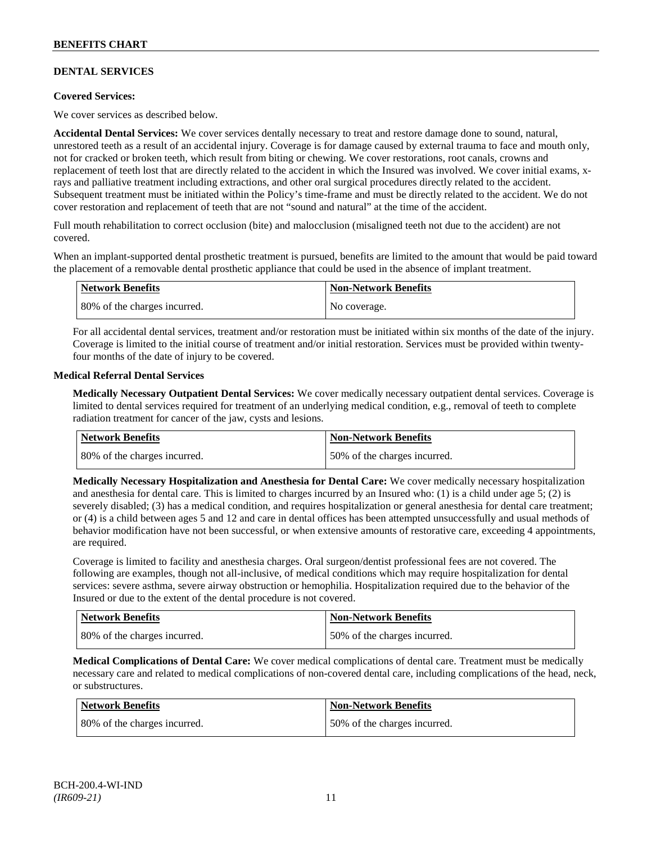### **DENTAL SERVICES**

### **Covered Services:**

We cover services as described below.

**Accidental Dental Services:** We cover services dentally necessary to treat and restore damage done to sound, natural, unrestored teeth as a result of an accidental injury. Coverage is for damage caused by external trauma to face and mouth only, not for cracked or broken teeth, which result from biting or chewing. We cover restorations, root canals, crowns and replacement of teeth lost that are directly related to the accident in which the Insured was involved. We cover initial exams, xrays and palliative treatment including extractions, and other oral surgical procedures directly related to the accident. Subsequent treatment must be initiated within the Policy's time-frame and must be directly related to the accident. We do not cover restoration and replacement of teeth that are not "sound and natural" at the time of the accident.

Full mouth rehabilitation to correct occlusion (bite) and malocclusion (misaligned teeth not due to the accident) are not covered.

When an implant-supported dental prosthetic treatment is pursued, benefits are limited to the amount that would be paid toward the placement of a removable dental prosthetic appliance that could be used in the absence of implant treatment.

| Network Benefits             | <b>Non-Network Benefits</b> |
|------------------------------|-----------------------------|
| 80% of the charges incurred. | No coverage.                |

For all accidental dental services, treatment and/or restoration must be initiated within six months of the date of the injury. Coverage is limited to the initial course of treatment and/or initial restoration. Services must be provided within twentyfour months of the date of injury to be covered.

### **Medical Referral Dental Services**

**Medically Necessary Outpatient Dental Services:** We cover medically necessary outpatient dental services. Coverage is limited to dental services required for treatment of an underlying medical condition, e.g., removal of teeth to complete radiation treatment for cancer of the jaw, cysts and lesions.

| Network Benefits             | <b>Non-Network Benefits</b>  |
|------------------------------|------------------------------|
| 80% of the charges incurred. | 50% of the charges incurred. |

**Medically Necessary Hospitalization and Anesthesia for Dental Care:** We cover medically necessary hospitalization and anesthesia for dental care. This is limited to charges incurred by an Insured who: (1) is a child under age  $5$ ; (2) is severely disabled; (3) has a medical condition, and requires hospitalization or general anesthesia for dental care treatment; or (4) is a child between ages 5 and 12 and care in dental offices has been attempted unsuccessfully and usual methods of behavior modification have not been successful, or when extensive amounts of restorative care, exceeding 4 appointments, are required.

Coverage is limited to facility and anesthesia charges. Oral surgeon/dentist professional fees are not covered. The following are examples, though not all-inclusive, of medical conditions which may require hospitalization for dental services: severe asthma, severe airway obstruction or hemophilia. Hospitalization required due to the behavior of the Insured or due to the extent of the dental procedure is not covered.

| Network Benefits             | <b>Non-Network Benefits</b>   |
|------------------------------|-------------------------------|
| 80% of the charges incurred. | 150% of the charges incurred. |

**Medical Complications of Dental Care:** We cover medical complications of dental care. Treatment must be medically necessary care and related to medical complications of non-covered dental care, including complications of the head, neck, or substructures.

| <b>Network Benefits</b>      | <b>Non-Network Benefits</b>  |
|------------------------------|------------------------------|
| 80% of the charges incurred. | 50% of the charges incurred. |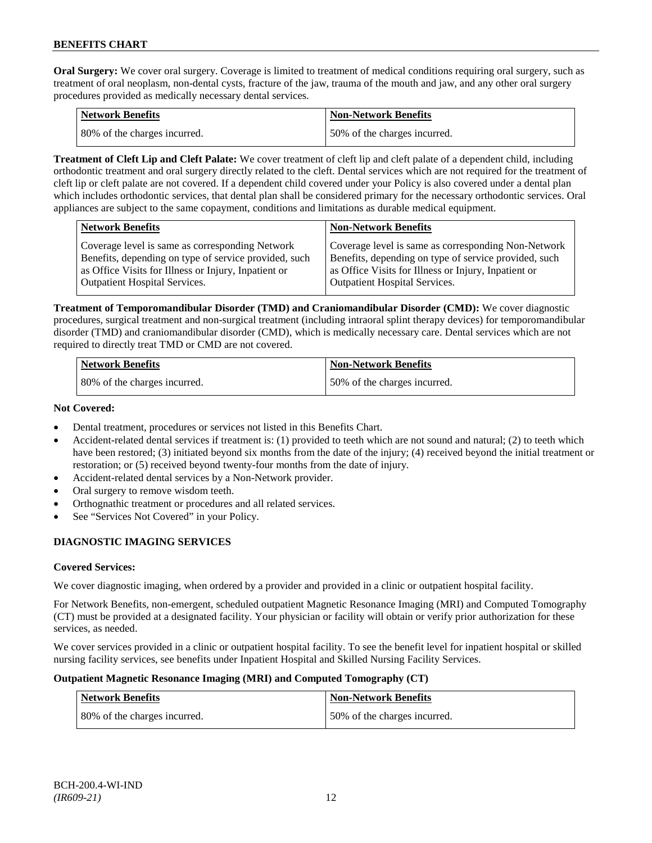**Oral Surgery:** We cover oral surgery. Coverage is limited to treatment of medical conditions requiring oral surgery, such as treatment of oral neoplasm, non-dental cysts, fracture of the jaw, trauma of the mouth and jaw, and any other oral surgery procedures provided as medically necessary dental services.

| Network Benefits             | <b>Non-Network Benefits</b>  |
|------------------------------|------------------------------|
| 80% of the charges incurred. | 50% of the charges incurred. |

**Treatment of Cleft Lip and Cleft Palate:** We cover treatment of cleft lip and cleft palate of a dependent child, including orthodontic treatment and oral surgery directly related to the cleft. Dental services which are not required for the treatment of cleft lip or cleft palate are not covered. If a dependent child covered under your Policy is also covered under a dental plan which includes orthodontic services, that dental plan shall be considered primary for the necessary orthodontic services. Oral appliances are subject to the same copayment, conditions and limitations as durable medical equipment.

| <b>Network Benefits</b>                                                                                                                                                                                  | <b>Non-Network Benefits</b>                                                                                                                                                                           |
|----------------------------------------------------------------------------------------------------------------------------------------------------------------------------------------------------------|-------------------------------------------------------------------------------------------------------------------------------------------------------------------------------------------------------|
| Coverage level is same as corresponding Network<br>Benefits, depending on type of service provided, such<br>as Office Visits for Illness or Injury, Inpatient or<br><b>Outpatient Hospital Services.</b> | Coverage level is same as corresponding Non-Network<br>Benefits, depending on type of service provided, such<br>as Office Visits for Illness or Injury, Inpatient or<br>Outpatient Hospital Services. |
|                                                                                                                                                                                                          |                                                                                                                                                                                                       |

**Treatment of Temporomandibular Disorder (TMD) and Craniomandibular Disorder (CMD):** We cover diagnostic procedures, surgical treatment and non-surgical treatment (including intraoral splint therapy devices) for temporomandibular disorder (TMD) and craniomandibular disorder (CMD), which is medically necessary care. Dental services which are not required to directly treat TMD or CMD are not covered.

| <b>Network Benefits</b>      | <b>Non-Network Benefits</b>  |
|------------------------------|------------------------------|
| 80% of the charges incurred. | 50% of the charges incurred. |

### **Not Covered:**

- Dental treatment, procedures or services not listed in this Benefits Chart.
- Accident-related dental services if treatment is: (1) provided to teeth which are not sound and natural; (2) to teeth which have been restored; (3) initiated beyond six months from the date of the injury; (4) received beyond the initial treatment or restoration; or (5) received beyond twenty-four months from the date of injury.
- Accident-related dental services by a Non-Network provider.
- Oral surgery to remove wisdom teeth.
- Orthognathic treatment or procedures and all related services.
- See "Services Not Covered" in your Policy.

# **DIAGNOSTIC IMAGING SERVICES**

### **Covered Services:**

We cover diagnostic imaging, when ordered by a provider and provided in a clinic or outpatient hospital facility.

For Network Benefits, non-emergent, scheduled outpatient Magnetic Resonance Imaging (MRI) and Computed Tomography (CT) must be provided at a designated facility. Your physician or facility will obtain or verify prior authorization for these services, as needed.

We cover services provided in a clinic or outpatient hospital facility. To see the benefit level for inpatient hospital or skilled nursing facility services, see benefits under Inpatient Hospital and Skilled Nursing Facility Services.

### **Outpatient Magnetic Resonance Imaging (MRI) and Computed Tomography (CT)**

| <b>Network Benefits</b>      | <b>Non-Network Benefits</b>  |
|------------------------------|------------------------------|
| 80% of the charges incurred. | 50% of the charges incurred. |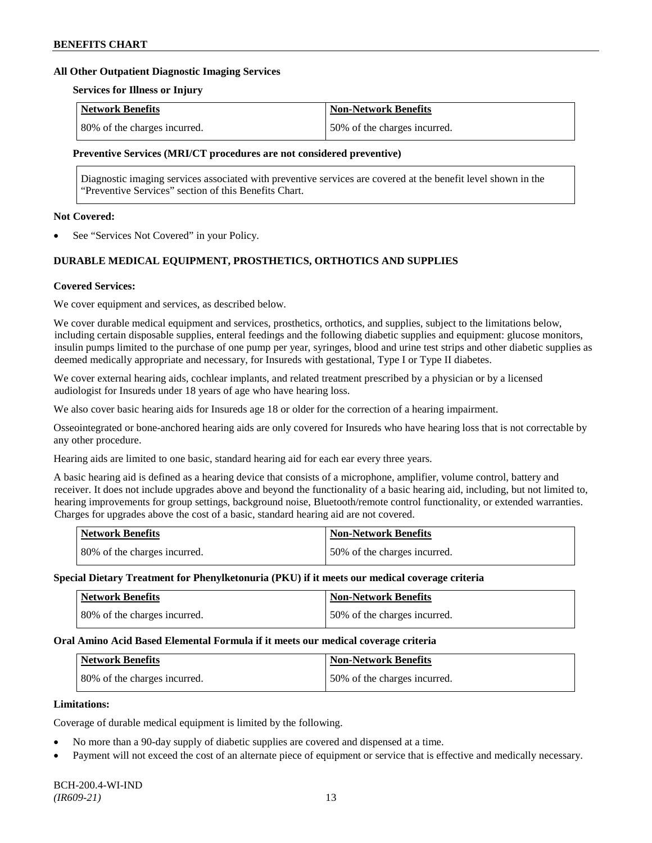#### **All Other Outpatient Diagnostic Imaging Services**

#### **Services for Illness or Injury**

| Network Benefits             | <b>Non-Network Benefits</b>  |
|------------------------------|------------------------------|
| 80% of the charges incurred. | 50% of the charges incurred. |

#### **Preventive Services (MRI/CT procedures are not considered preventive)**

Diagnostic imaging services associated with preventive services are covered at the benefit level shown in the "Preventive Services" section of this Benefits Chart.

### **Not Covered:**

See "Services Not Covered" in your Policy.

# **DURABLE MEDICAL EQUIPMENT, PROSTHETICS, ORTHOTICS AND SUPPLIES**

### **Covered Services:**

We cover equipment and services, as described below.

We cover durable medical equipment and services, prosthetics, orthotics, and supplies, subject to the limitations below, including certain disposable supplies, enteral feedings and the following diabetic supplies and equipment: glucose monitors, insulin pumps limited to the purchase of one pump per year, syringes, blood and urine test strips and other diabetic supplies as deemed medically appropriate and necessary, for Insureds with gestational, Type I or Type II diabetes.

We cover external hearing aids, cochlear implants, and related treatment prescribed by a physician or by a licensed audiologist for Insureds under 18 years of age who have hearing loss.

We also cover basic hearing aids for Insureds age 18 or older for the correction of a hearing impairment.

Osseointegrated or bone-anchored hearing aids are only covered for Insureds who have hearing loss that is not correctable by any other procedure.

Hearing aids are limited to one basic, standard hearing aid for each ear every three years.

A basic hearing aid is defined as a hearing device that consists of a microphone, amplifier, volume control, battery and receiver. It does not include upgrades above and beyond the functionality of a basic hearing aid, including, but not limited to, hearing improvements for group settings, background noise, Bluetooth/remote control functionality, or extended warranties. Charges for upgrades above the cost of a basic, standard hearing aid are not covered.

| Network Benefits             | <b>Non-Network Benefits</b>  |
|------------------------------|------------------------------|
| 80% of the charges incurred. | 50% of the charges incurred. |

#### **Special Dietary Treatment for Phenylketonuria (PKU) if it meets our medical coverage criteria**

| <b>Network Benefits</b>      | <b>Non-Network Benefits</b>  |
|------------------------------|------------------------------|
| 80% of the charges incurred. | 50% of the charges incurred. |

#### **Oral Amino Acid Based Elemental Formula if it meets our medical coverage criteria**

| Network Benefits             | <b>Non-Network Benefits</b>  |
|------------------------------|------------------------------|
| 80% of the charges incurred. | 50% of the charges incurred. |

### **Limitations:**

Coverage of durable medical equipment is limited by the following.

- No more than a 90-day supply of diabetic supplies are covered and dispensed at a time.
- Payment will not exceed the cost of an alternate piece of equipment or service that is effective and medically necessary.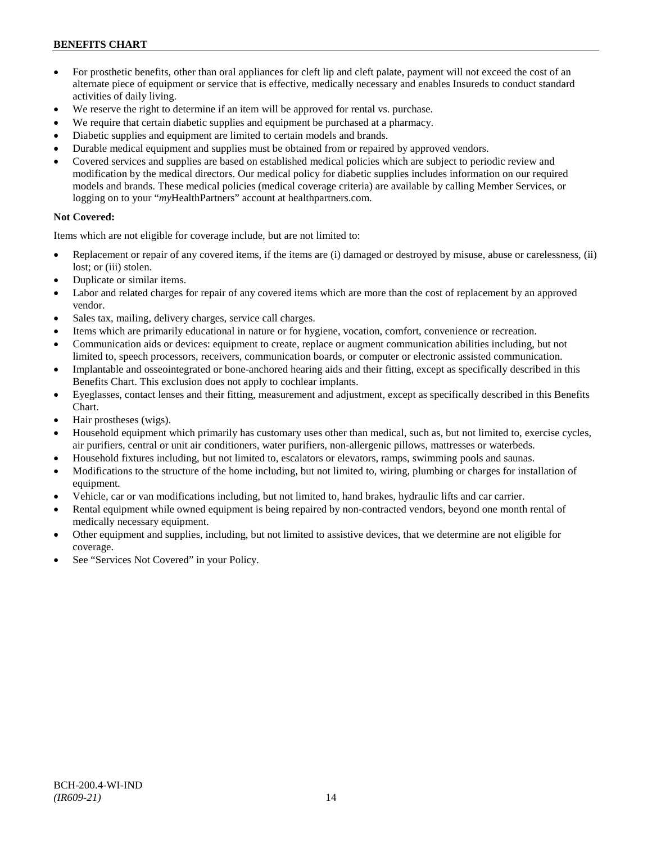# **BENEFITS CHART**

- For prosthetic benefits, other than oral appliances for cleft lip and cleft palate, payment will not exceed the cost of an alternate piece of equipment or service that is effective, medically necessary and enables Insureds to conduct standard activities of daily living.
- We reserve the right to determine if an item will be approved for rental vs. purchase.
- We require that certain diabetic supplies and equipment be purchased at a pharmacy.
- Diabetic supplies and equipment are limited to certain models and brands.
- Durable medical equipment and supplies must be obtained from or repaired by approved vendors.
- Covered services and supplies are based on established medical policies which are subject to periodic review and modification by the medical directors. Our medical policy for diabetic supplies includes information on our required models and brands. These medical policies (medical coverage criteria) are available by calling Member Services, or logging on to your "*my*HealthPartners" account at [healthpartners.com.](http://www.healthpartners.com/)

# **Not Covered:**

Items which are not eligible for coverage include, but are not limited to:

- Replacement or repair of any covered items, if the items are (i) damaged or destroyed by misuse, abuse or carelessness, (ii) lost; or (iii) stolen.
- Duplicate or similar items.
- Labor and related charges for repair of any covered items which are more than the cost of replacement by an approved vendor.
- Sales tax, mailing, delivery charges, service call charges.
- Items which are primarily educational in nature or for hygiene, vocation, comfort, convenience or recreation.
- Communication aids or devices: equipment to create, replace or augment communication abilities including, but not limited to, speech processors, receivers, communication boards, or computer or electronic assisted communication.
- Implantable and osseointegrated or bone-anchored hearing aids and their fitting, except as specifically described in this Benefits Chart. This exclusion does not apply to cochlear implants.
- Eyeglasses, contact lenses and their fitting, measurement and adjustment, except as specifically described in this Benefits Chart.
- Hair prostheses (wigs).
- Household equipment which primarily has customary uses other than medical, such as, but not limited to, exercise cycles, air purifiers, central or unit air conditioners, water purifiers, non-allergenic pillows, mattresses or waterbeds.
- Household fixtures including, but not limited to, escalators or elevators, ramps, swimming pools and saunas.
- Modifications to the structure of the home including, but not limited to, wiring, plumbing or charges for installation of equipment.
- Vehicle, car or van modifications including, but not limited to, hand brakes, hydraulic lifts and car carrier.
- Rental equipment while owned equipment is being repaired by non-contracted vendors, beyond one month rental of medically necessary equipment.
- Other equipment and supplies, including, but not limited to assistive devices, that we determine are not eligible for coverage.
- See "Services Not Covered" in your Policy.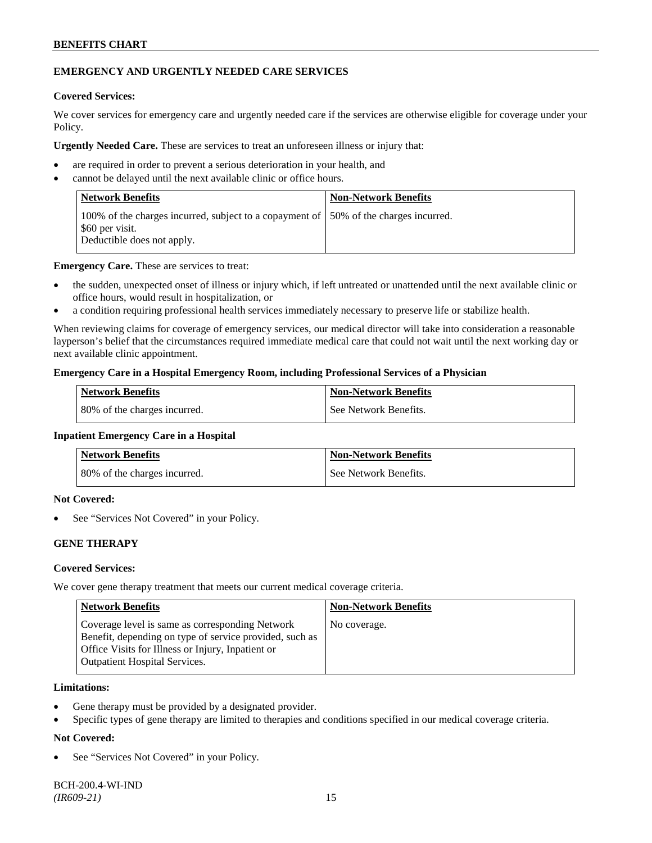# **BENEFITS CHART**

### **EMERGENCY AND URGENTLY NEEDED CARE SERVICES**

### **Covered Services:**

We cover services for emergency care and urgently needed care if the services are otherwise eligible for coverage under your Policy.

**Urgently Needed Care.** These are services to treat an unforeseen illness or injury that:

- are required in order to prevent a serious deterioration in your health, and
- cannot be delayed until the next available clinic or office hours.

| <b>Network Benefits</b>                                                                                                                | <b>Non-Network Benefits</b> |
|----------------------------------------------------------------------------------------------------------------------------------------|-----------------------------|
| 100% of the charges incurred, subject to a copayment of 150% of the charges incurred.<br>\$60 per visit.<br>Deductible does not apply. |                             |

**Emergency Care.** These are services to treat:

- the sudden, unexpected onset of illness or injury which, if left untreated or unattended until the next available clinic or office hours, would result in hospitalization, or
- a condition requiring professional health services immediately necessary to preserve life or stabilize health.

When reviewing claims for coverage of emergency services, our medical director will take into consideration a reasonable layperson's belief that the circumstances required immediate medical care that could not wait until the next working day or next available clinic appointment.

### **Emergency Care in a Hospital Emergency Room, including Professional Services of a Physician**

| <b>Network Benefits</b>      | <b>Non-Network Benefits</b> |
|------------------------------|-----------------------------|
| 80% of the charges incurred. | See Network Benefits.       |

#### **Inpatient Emergency Care in a Hospital**

| <b>Network Benefits</b>      | <b>Non-Network Benefits</b> |
|------------------------------|-----------------------------|
| 80% of the charges incurred. | l See Network Benefits.     |

### **Not Covered:**

See "Services Not Covered" in your Policy.

### **GENE THERAPY**

### **Covered Services:**

We cover gene therapy treatment that meets our current medical coverage criteria.

| <b>Network Benefits</b>                                                                                                                                                                                 | <b>Non-Network Benefits</b> |
|---------------------------------------------------------------------------------------------------------------------------------------------------------------------------------------------------------|-----------------------------|
| Coverage level is same as corresponding Network<br>Benefit, depending on type of service provided, such as<br>Office Visits for Illness or Injury, Inpatient or<br><b>Outpatient Hospital Services.</b> | No coverage.                |

### **Limitations:**

- Gene therapy must be provided by a designated provider.
- Specific types of gene therapy are limited to therapies and conditions specified in our medical coverage criteria.

### **Not Covered:**

See "Services Not Covered" in your Policy.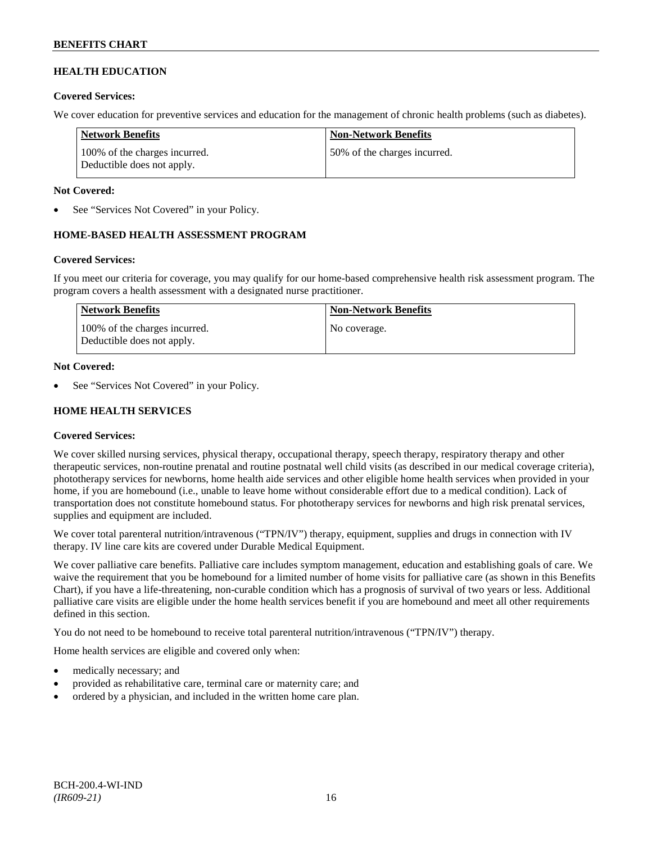# **HEALTH EDUCATION**

### **Covered Services:**

We cover education for preventive services and education for the management of chronic health problems (such as diabetes).

| Network Benefits                                            | <b>Non-Network Benefits</b>  |
|-------------------------------------------------------------|------------------------------|
| 100% of the charges incurred.<br>Deductible does not apply. | 50% of the charges incurred. |

### **Not Covered:**

See "Services Not Covered" in your Policy.

### **HOME-BASED HEALTH ASSESSMENT PROGRAM**

### **Covered Services:**

If you meet our criteria for coverage, you may qualify for our home-based comprehensive health risk assessment program. The program covers a health assessment with a designated nurse practitioner.

| <b>Network Benefits</b>                                     | <b>Non-Network Benefits</b> |
|-------------------------------------------------------------|-----------------------------|
| 100% of the charges incurred.<br>Deductible does not apply. | No coverage.                |

### **Not Covered:**

See "Services Not Covered" in your Policy.

### **HOME HEALTH SERVICES**

### **Covered Services:**

We cover skilled nursing services, physical therapy, occupational therapy, speech therapy, respiratory therapy and other therapeutic services, non-routine prenatal and routine postnatal well child visits (as described in our medical coverage criteria), phototherapy services for newborns, home health aide services and other eligible home health services when provided in your home, if you are homebound (i.e., unable to leave home without considerable effort due to a medical condition). Lack of transportation does not constitute homebound status. For phototherapy services for newborns and high risk prenatal services, supplies and equipment are included.

We cover total parenteral nutrition/intravenous ("TPN/IV") therapy, equipment, supplies and drugs in connection with IV therapy. IV line care kits are covered under Durable Medical Equipment.

We cover palliative care benefits. Palliative care includes symptom management, education and establishing goals of care. We waive the requirement that you be homebound for a limited number of home visits for palliative care (as shown in this Benefits Chart), if you have a life-threatening, non-curable condition which has a prognosis of survival of two years or less. Additional palliative care visits are eligible under the home health services benefit if you are homebound and meet all other requirements defined in this section.

You do not need to be homebound to receive total parenteral nutrition/intravenous ("TPN/IV") therapy.

Home health services are eligible and covered only when:

- medically necessary; and
- provided as rehabilitative care, terminal care or maternity care; and
- ordered by a physician, and included in the written home care plan.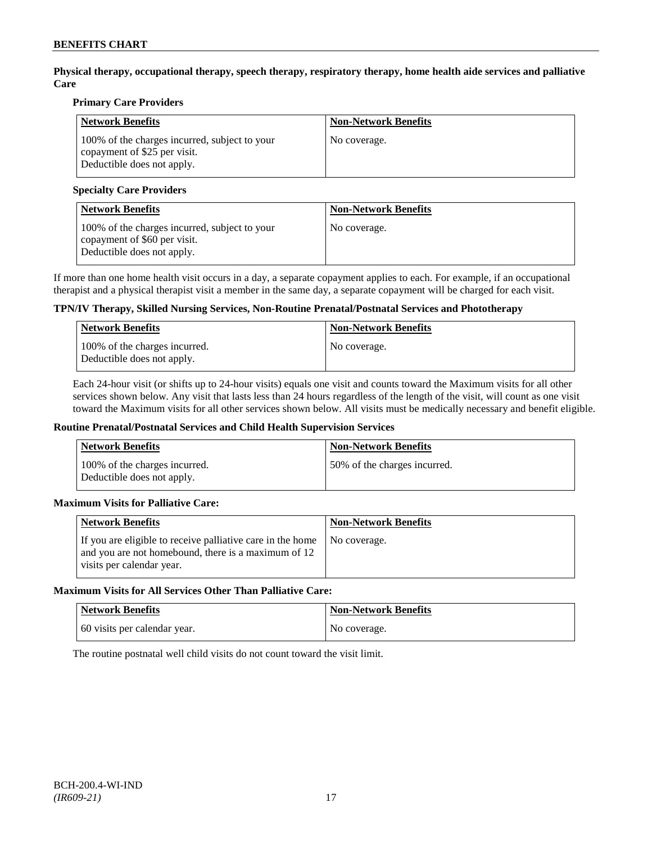**Physical therapy, occupational therapy, speech therapy, respiratory therapy, home health aide services and palliative Care**

### **Primary Care Providers**

| <b>Network Benefits</b>                                                                                     | <b>Non-Network Benefits</b> |
|-------------------------------------------------------------------------------------------------------------|-----------------------------|
| 100% of the charges incurred, subject to your<br>copayment of \$25 per visit.<br>Deductible does not apply. | No coverage.                |

### **Specialty Care Providers**

| <b>Network Benefits</b>                                                                                     | <b>Non-Network Benefits</b> |
|-------------------------------------------------------------------------------------------------------------|-----------------------------|
| 100% of the charges incurred, subject to your<br>copayment of \$60 per visit.<br>Deductible does not apply. | No coverage.                |

If more than one home health visit occurs in a day, a separate copayment applies to each. For example, if an occupational therapist and a physical therapist visit a member in the same day, a separate copayment will be charged for each visit.

### **TPN/IV Therapy, Skilled Nursing Services, Non-Routine Prenatal/Postnatal Services and Phototherapy**

| Network Benefits                                            | Non-Network Benefits |
|-------------------------------------------------------------|----------------------|
| 100% of the charges incurred.<br>Deductible does not apply. | No coverage.         |

Each 24-hour visit (or shifts up to 24-hour visits) equals one visit and counts toward the Maximum visits for all other services shown below. Any visit that lasts less than 24 hours regardless of the length of the visit, will count as one visit toward the Maximum visits for all other services shown below. All visits must be medically necessary and benefit eligible.

#### **Routine Prenatal/Postnatal Services and Child Health Supervision Services**

| <b>Network Benefits</b>                                     | <b>Non-Network Benefits</b>  |
|-------------------------------------------------------------|------------------------------|
| 100% of the charges incurred.<br>Deductible does not apply. | 50% of the charges incurred. |

### **Maximum Visits for Palliative Care:**

| Network Benefits                                                                                                                               | <b>Non-Network Benefits</b> |
|------------------------------------------------------------------------------------------------------------------------------------------------|-----------------------------|
| If you are eligible to receive palliative care in the home<br>and you are not homebound, there is a maximum of 12<br>visits per calendar year. | No coverage.                |

#### **Maximum Visits for All Services Other Than Palliative Care:**

| Network Benefits             | <b>Non-Network Benefits</b> |
|------------------------------|-----------------------------|
| 60 visits per calendar year. | No coverage.                |

The routine postnatal well child visits do not count toward the visit limit.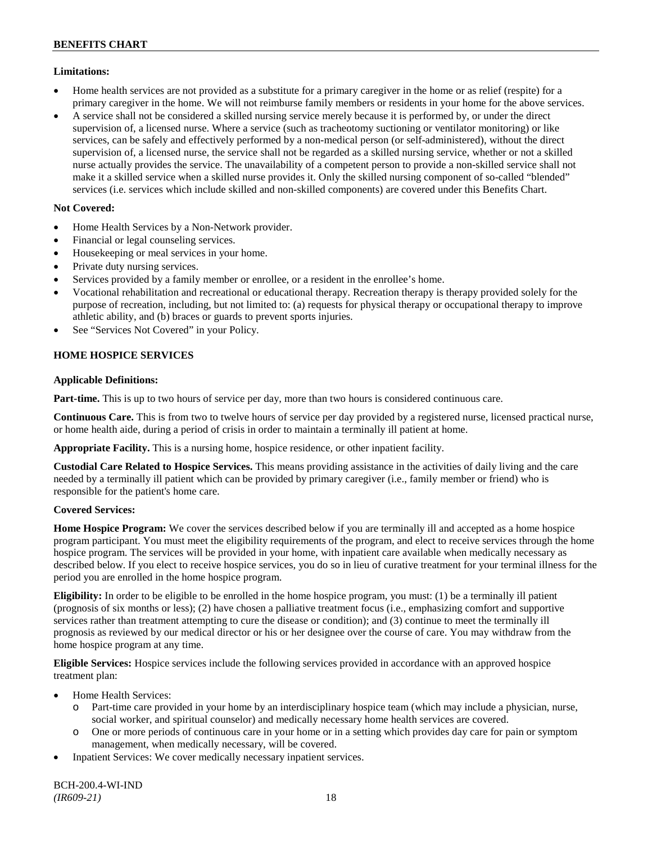### **Limitations:**

- Home health services are not provided as a substitute for a primary caregiver in the home or as relief (respite) for a primary caregiver in the home. We will not reimburse family members or residents in your home for the above services.
- A service shall not be considered a skilled nursing service merely because it is performed by, or under the direct supervision of, a licensed nurse. Where a service (such as tracheotomy suctioning or ventilator monitoring) or like services, can be safely and effectively performed by a non-medical person (or self-administered), without the direct supervision of, a licensed nurse, the service shall not be regarded as a skilled nursing service, whether or not a skilled nurse actually provides the service. The unavailability of a competent person to provide a non-skilled service shall not make it a skilled service when a skilled nurse provides it. Only the skilled nursing component of so-called "blended" services (i.e. services which include skilled and non-skilled components) are covered under this Benefits Chart.

### **Not Covered:**

- Home Health Services by a Non-Network provider.
- Financial or legal counseling services.
- Housekeeping or meal services in your home.
- Private duty nursing services.
- Services provided by a family member or enrollee, or a resident in the enrollee's home.
- Vocational rehabilitation and recreational or educational therapy. Recreation therapy is therapy provided solely for the purpose of recreation, including, but not limited to: (a) requests for physical therapy or occupational therapy to improve athletic ability, and (b) braces or guards to prevent sports injuries.
- See "Services Not Covered" in your Policy.

# **HOME HOSPICE SERVICES**

### **Applicable Definitions:**

**Part-time.** This is up to two hours of service per day, more than two hours is considered continuous care.

**Continuous Care.** This is from two to twelve hours of service per day provided by a registered nurse, licensed practical nurse, or home health aide, during a period of crisis in order to maintain a terminally ill patient at home.

**Appropriate Facility.** This is a nursing home, hospice residence, or other inpatient facility.

**Custodial Care Related to Hospice Services.** This means providing assistance in the activities of daily living and the care needed by a terminally ill patient which can be provided by primary caregiver (i.e., family member or friend) who is responsible for the patient's home care.

### **Covered Services:**

**Home Hospice Program:** We cover the services described below if you are terminally ill and accepted as a home hospice program participant. You must meet the eligibility requirements of the program, and elect to receive services through the home hospice program. The services will be provided in your home, with inpatient care available when medically necessary as described below. If you elect to receive hospice services, you do so in lieu of curative treatment for your terminal illness for the period you are enrolled in the home hospice program.

**Eligibility:** In order to be eligible to be enrolled in the home hospice program, you must: (1) be a terminally ill patient (prognosis of six months or less); (2) have chosen a palliative treatment focus (i.e., emphasizing comfort and supportive services rather than treatment attempting to cure the disease or condition); and (3) continue to meet the terminally ill prognosis as reviewed by our medical director or his or her designee over the course of care. You may withdraw from the home hospice program at any time.

**Eligible Services:** Hospice services include the following services provided in accordance with an approved hospice treatment plan:

- Home Health Services:
	- o Part-time care provided in your home by an interdisciplinary hospice team (which may include a physician, nurse, social worker, and spiritual counselor) and medically necessary home health services are covered.
	- o One or more periods of continuous care in your home or in a setting which provides day care for pain or symptom management, when medically necessary, will be covered.
- Inpatient Services: We cover medically necessary inpatient services.

BCH-200.4-WI-IND *(IR609-21)* 18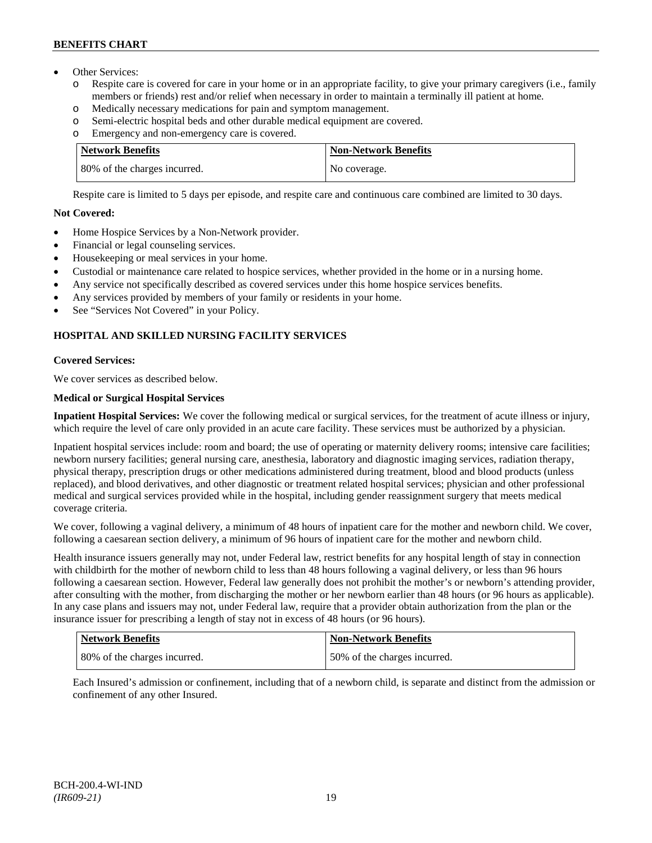# **BENEFITS CHART**

- Other Services:
	- o Respite care is covered for care in your home or in an appropriate facility, to give your primary caregivers (i.e., family members or friends) rest and/or relief when necessary in order to maintain a terminally ill patient at home*.*
	- o Medically necessary medications for pain and symptom management.
	- o Semi-electric hospital beds and other durable medical equipment are covered.
	- o Emergency and non-emergency care is covered.

| Network Benefits             | <b>Non-Network Benefits</b> |
|------------------------------|-----------------------------|
| 80% of the charges incurred. | No coverage.                |

Respite care is limited to 5 days per episode, and respite care and continuous care combined are limited to 30 days.

### **Not Covered:**

- Home Hospice Services by a Non-Network provider.
- Financial or legal counseling services.
- Housekeeping or meal services in your home.
- Custodial or maintenance care related to hospice services, whether provided in the home or in a nursing home.
- Any service not specifically described as covered services under this home hospice services benefits.
- Any services provided by members of your family or residents in your home.
- See "Services Not Covered" in your Policy.

# **HOSPITAL AND SKILLED NURSING FACILITY SERVICES**

### **Covered Services:**

We cover services as described below.

# **Medical or Surgical Hospital Services**

**Inpatient Hospital Services:** We cover the following medical or surgical services, for the treatment of acute illness or injury, which require the level of care only provided in an acute care facility. These services must be authorized by a physician.

Inpatient hospital services include: room and board; the use of operating or maternity delivery rooms; intensive care facilities; newborn nursery facilities; general nursing care, anesthesia, laboratory and diagnostic imaging services, radiation therapy, physical therapy, prescription drugs or other medications administered during treatment, blood and blood products (unless replaced), and blood derivatives, and other diagnostic or treatment related hospital services; physician and other professional medical and surgical services provided while in the hospital, including gender reassignment surgery that meets medical coverage criteria.

We cover, following a vaginal delivery, a minimum of 48 hours of inpatient care for the mother and newborn child. We cover, following a caesarean section delivery, a minimum of 96 hours of inpatient care for the mother and newborn child.

Health insurance issuers generally may not, under Federal law, restrict benefits for any hospital length of stay in connection with childbirth for the mother of newborn child to less than 48 hours following a vaginal delivery, or less than 96 hours following a caesarean section. However, Federal law generally does not prohibit the mother's or newborn's attending provider, after consulting with the mother, from discharging the mother or her newborn earlier than 48 hours (or 96 hours as applicable). In any case plans and issuers may not, under Federal law, require that a provider obtain authorization from the plan or the insurance issuer for prescribing a length of stay not in excess of 48 hours (or 96 hours).

| Network Benefits             | <b>Non-Network Benefits</b>  |
|------------------------------|------------------------------|
| 80% of the charges incurred. | 50% of the charges incurred. |

Each Insured's admission or confinement, including that of a newborn child, is separate and distinct from the admission or confinement of any other Insured.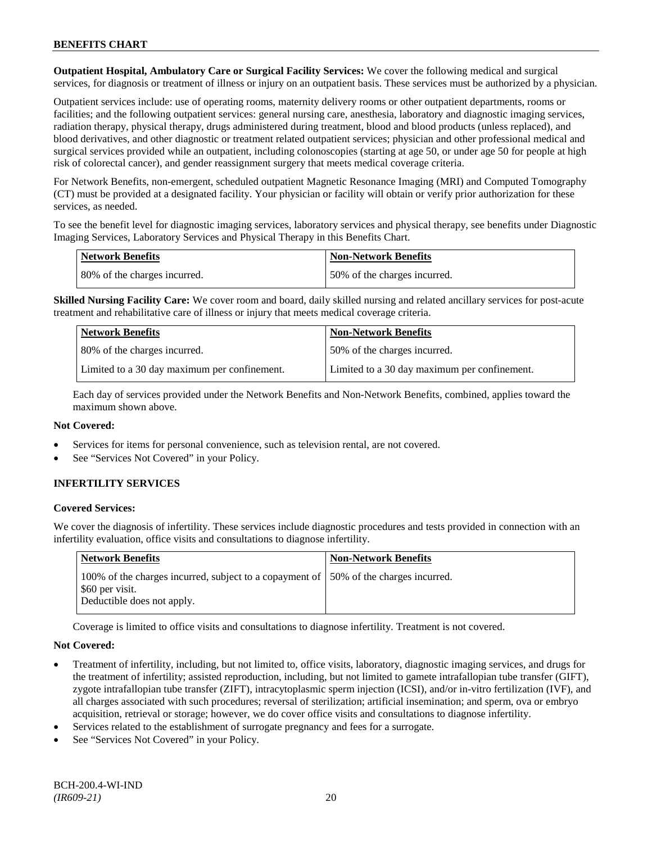**Outpatient Hospital, Ambulatory Care or Surgical Facility Services:** We cover the following medical and surgical services, for diagnosis or treatment of illness or injury on an outpatient basis. These services must be authorized by a physician.

Outpatient services include: use of operating rooms, maternity delivery rooms or other outpatient departments, rooms or facilities; and the following outpatient services: general nursing care, anesthesia, laboratory and diagnostic imaging services, radiation therapy, physical therapy, drugs administered during treatment, blood and blood products (unless replaced), and blood derivatives, and other diagnostic or treatment related outpatient services; physician and other professional medical and surgical services provided while an outpatient, including colonoscopies (starting at age 50, or under age 50 for people at high risk of colorectal cancer), and gender reassignment surgery that meets medical coverage criteria.

For Network Benefits, non-emergent, scheduled outpatient Magnetic Resonance Imaging (MRI) and Computed Tomography (CT) must be provided at a designated facility. Your physician or facility will obtain or verify prior authorization for these services, as needed.

To see the benefit level for diagnostic imaging services, laboratory services and physical therapy, see benefits under Diagnostic Imaging Services, Laboratory Services and Physical Therapy in this Benefits Chart.

| <b>Network Benefits</b>      | Non-Network Benefits         |
|------------------------------|------------------------------|
| 80% of the charges incurred. | 50% of the charges incurred. |

**Skilled Nursing Facility Care:** We cover room and board, daily skilled nursing and related ancillary services for post-acute treatment and rehabilitative care of illness or injury that meets medical coverage criteria.

| <b>Network Benefits</b>                      | <b>Non-Network Benefits</b>                  |
|----------------------------------------------|----------------------------------------------|
| 80% of the charges incurred.                 | 50% of the charges incurred.                 |
| Limited to a 30 day maximum per confinement. | Limited to a 30 day maximum per confinement. |

Each day of services provided under the Network Benefits and Non-Network Benefits, combined, applies toward the maximum shown above.

### **Not Covered:**

- Services for items for personal convenience, such as television rental, are not covered.
- See "Services Not Covered" in your Policy.

# **INFERTILITY SERVICES**

### **Covered Services:**

We cover the diagnosis of infertility. These services include diagnostic procedures and tests provided in connection with an infertility evaluation, office visits and consultations to diagnose infertility.

| Network Benefits                                                                                                                       | <b>Non-Network Benefits</b> |
|----------------------------------------------------------------------------------------------------------------------------------------|-----------------------------|
| 100% of the charges incurred, subject to a copayment of 150% of the charges incurred.<br>\$60 per visit.<br>Deductible does not apply. |                             |

Coverage is limited to office visits and consultations to diagnose infertility. Treatment is not covered.

### **Not Covered:**

- Treatment of infertility, including, but not limited to, office visits, laboratory, diagnostic imaging services, and drugs for the treatment of infertility; assisted reproduction, including, but not limited to gamete intrafallopian tube transfer (GIFT), zygote intrafallopian tube transfer (ZIFT), intracytoplasmic sperm injection (ICSI), and/or in-vitro fertilization (IVF), and all charges associated with such procedures; reversal of sterilization; artificial insemination; and sperm, ova or embryo acquisition, retrieval or storage; however, we do cover office visits and consultations to diagnose infertility.
- Services related to the establishment of surrogate pregnancy and fees for a surrogate.
- See "Services Not Covered" in your Policy.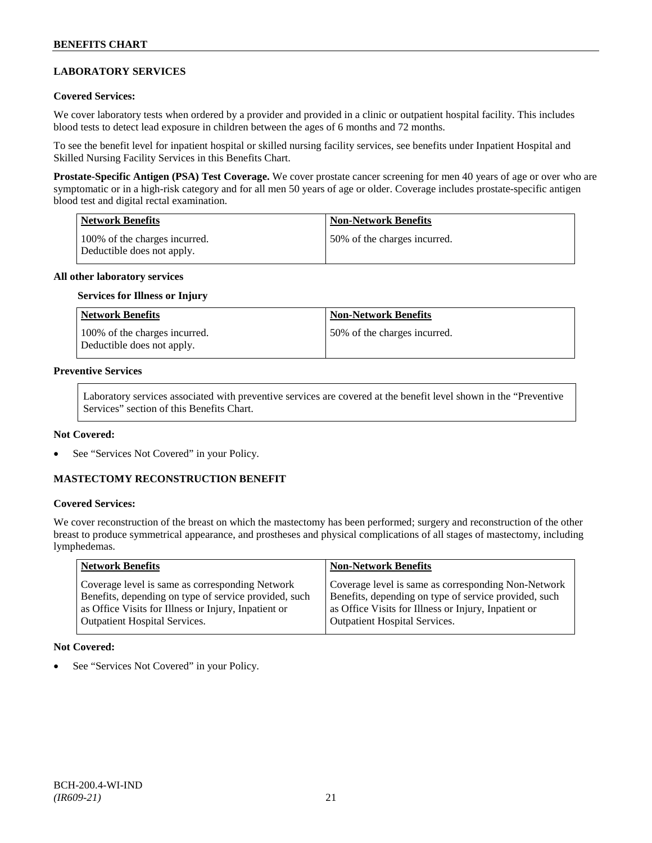# **LABORATORY SERVICES**

### **Covered Services:**

We cover laboratory tests when ordered by a provider and provided in a clinic or outpatient hospital facility. This includes blood tests to detect lead exposure in children between the ages of 6 months and 72 months.

To see the benefit level for inpatient hospital or skilled nursing facility services, see benefits under Inpatient Hospital and Skilled Nursing Facility Services in this Benefits Chart.

**Prostate-Specific Antigen (PSA) Test Coverage.** We cover prostate cancer screening for men 40 years of age or over who are symptomatic or in a high-risk category and for all men 50 years of age or older. Coverage includes prostate-specific antigen blood test and digital rectal examination.

| Network Benefits                                            | <b>Non-Network Benefits</b>  |
|-------------------------------------------------------------|------------------------------|
| 100% of the charges incurred.<br>Deductible does not apply. | 50% of the charges incurred. |

#### **All other laboratory services**

#### **Services for Illness or Injury**

| <b>Network Benefits</b>                                     | <b>Non-Network Benefits</b>  |
|-------------------------------------------------------------|------------------------------|
| 100% of the charges incurred.<br>Deductible does not apply. | 50% of the charges incurred. |

#### **Preventive Services**

Laboratory services associated with preventive services are covered at the benefit level shown in the "Preventive Services" section of this Benefits Chart.

#### **Not Covered:**

See "Services Not Covered" in your Policy.

### **MASTECTOMY RECONSTRUCTION BENEFIT**

### **Covered Services:**

We cover reconstruction of the breast on which the mastectomy has been performed; surgery and reconstruction of the other breast to produce symmetrical appearance, and prostheses and physical complications of all stages of mastectomy, including lymphedemas.

| <b>Network Benefits</b>                               | <b>Non-Network Benefits</b>                           |
|-------------------------------------------------------|-------------------------------------------------------|
| Coverage level is same as corresponding Network       | Coverage level is same as corresponding Non-Network   |
| Benefits, depending on type of service provided, such | Benefits, depending on type of service provided, such |
| as Office Visits for Illness or Injury, Inpatient or  | as Office Visits for Illness or Injury, Inpatient or  |
| <b>Outpatient Hospital Services.</b>                  | <b>Outpatient Hospital Services.</b>                  |

#### **Not Covered:**

See "Services Not Covered" in your Policy.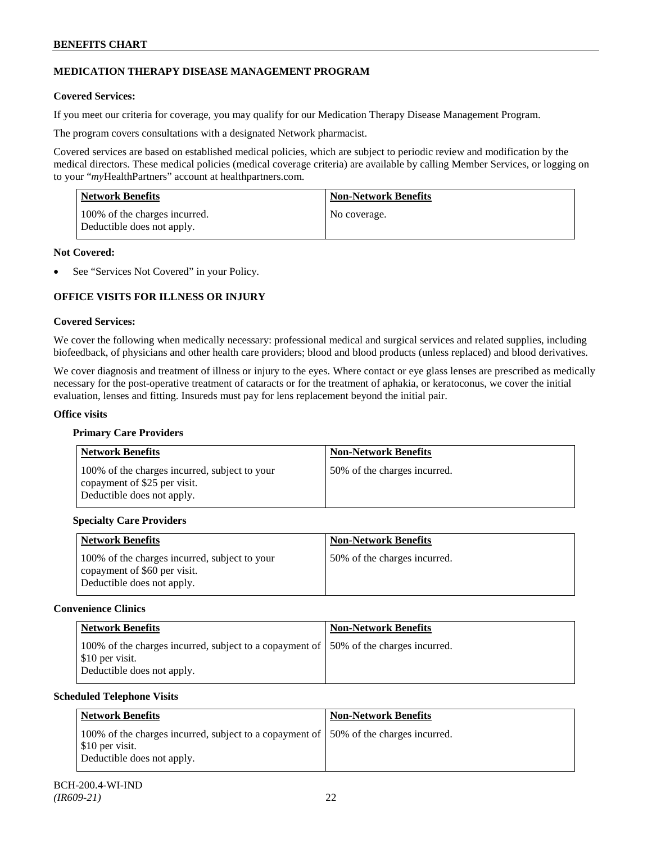# **MEDICATION THERAPY DISEASE MANAGEMENT PROGRAM**

### **Covered Services:**

If you meet our criteria for coverage, you may qualify for our Medication Therapy Disease Management Program.

The program covers consultations with a designated Network pharmacist.

Covered services are based on established medical policies, which are subject to periodic review and modification by the medical directors. These medical policies (medical coverage criteria) are available by calling Member Services, or logging on to your "*my*HealthPartners" account at [healthpartners.com.](http://www.healthpartners.com/)

| <b>Network Benefits</b>                                     | <b>Non-Network Benefits</b> |
|-------------------------------------------------------------|-----------------------------|
| 100% of the charges incurred.<br>Deductible does not apply. | No coverage.                |

### **Not Covered:**

See "Services Not Covered" in your Policy.

# **OFFICE VISITS FOR ILLNESS OR INJURY**

### **Covered Services:**

We cover the following when medically necessary: professional medical and surgical services and related supplies, including biofeedback, of physicians and other health care providers; blood and blood products (unless replaced) and blood derivatives.

We cover diagnosis and treatment of illness or injury to the eyes. Where contact or eye glass lenses are prescribed as medically necessary for the post-operative treatment of cataracts or for the treatment of aphakia, or keratoconus, we cover the initial evaluation, lenses and fitting. Insureds must pay for lens replacement beyond the initial pair.

### **Office visits**

### **Primary Care Providers**

| <b>Network Benefits</b>                                                                                     | <b>Non-Network Benefits</b>  |
|-------------------------------------------------------------------------------------------------------------|------------------------------|
| 100% of the charges incurred, subject to your<br>copayment of \$25 per visit.<br>Deductible does not apply. | 50% of the charges incurred. |

### **Specialty Care Providers**

| <b>Network Benefits</b>                                                                                     | <b>Non-Network Benefits</b>  |
|-------------------------------------------------------------------------------------------------------------|------------------------------|
| 100% of the charges incurred, subject to your<br>copayment of \$60 per visit.<br>Deductible does not apply. | 50% of the charges incurred. |

### **Convenience Clinics**

| <b>Network Benefits</b>                                                                                                                | <b>Non-Network Benefits</b> |
|----------------------------------------------------------------------------------------------------------------------------------------|-----------------------------|
| 100% of the charges incurred, subject to a copayment of 150% of the charges incurred.<br>\$10 per visit.<br>Deductible does not apply. |                             |

### **Scheduled Telephone Visits**

| Network Benefits                                                                                                                      | <b>Non-Network Benefits</b> |
|---------------------------------------------------------------------------------------------------------------------------------------|-----------------------------|
| 100% of the charges incurred, subject to a copayment of 50% of the charges incurred.<br>\$10 per visit.<br>Deductible does not apply. |                             |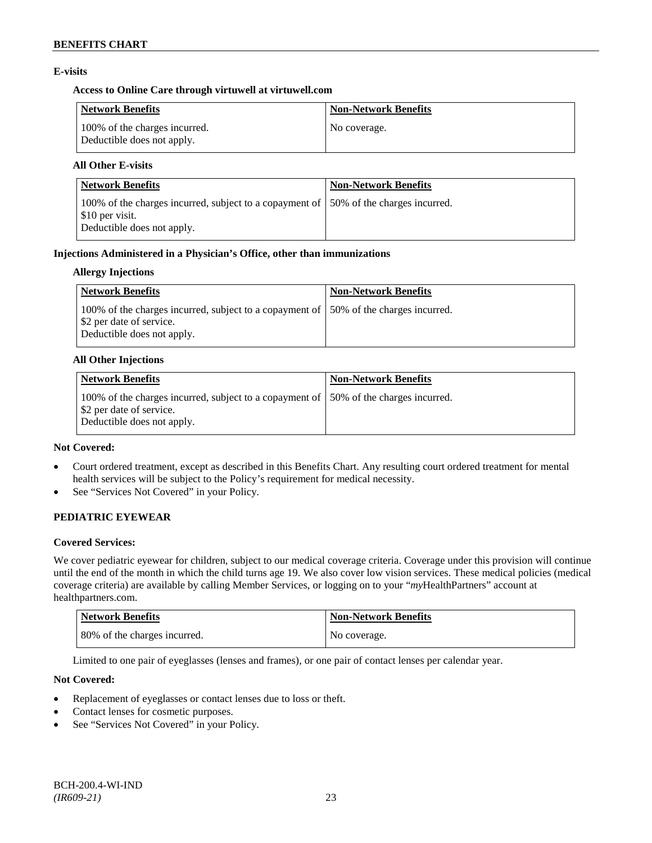### **E-visits**

### **Access to Online Care through virtuwell a[t virtuwell.com](http://www.virtuwell.com/)**

| <b>Network Benefits</b>                                     | <b>Non-Network Benefits</b> |
|-------------------------------------------------------------|-----------------------------|
| 100% of the charges incurred.<br>Deductible does not apply. | No coverage.                |

### **All Other E-visits**

| Network Benefits                                                                                                                       | <b>Non-Network Benefits</b> |
|----------------------------------------------------------------------------------------------------------------------------------------|-----------------------------|
| 100% of the charges incurred, subject to a copayment of 150% of the charges incurred.<br>\$10 per visit.<br>Deductible does not apply. |                             |

### **Injections Administered in a Physician's Office, other than immunizations**

### **Allergy Injections**

| <b>Network Benefits</b>                                                                                                                              | <b>Non-Network Benefits</b> |
|------------------------------------------------------------------------------------------------------------------------------------------------------|-----------------------------|
| 100% of the charges incurred, subject to a copayment of 150% of the charges incurred.<br>Select 2 per date of service.<br>Deductible does not apply. |                             |

### **All Other Injections**

| Network Benefits                                                                                                                                | <b>Non-Network Benefits</b> |
|-------------------------------------------------------------------------------------------------------------------------------------------------|-----------------------------|
| 100% of the charges incurred, subject to a copayment of 150% of the charges incurred.<br>\$2 per date of service.<br>Deductible does not apply. |                             |

### **Not Covered:**

- Court ordered treatment, except as described in this Benefits Chart. Any resulting court ordered treatment for mental health services will be subject to the Policy's requirement for medical necessity.
- See "Services Not Covered" in your Policy.

### **PEDIATRIC EYEWEAR**

### **Covered Services:**

We cover pediatric eyewear for children, subject to our medical coverage criteria. Coverage under this provision will continue until the end of the month in which the child turns age 19. We also cover low vision services. These medical policies (medical coverage criteria) are available by calling Member Services, or logging on to your "*my*HealthPartners" account at [healthpartners.com.](http://www.healthpartners.com/)

| <b>Network Benefits</b>      | Non-Network Benefits |
|------------------------------|----------------------|
| 80% of the charges incurred. | No coverage.         |

Limited to one pair of eyeglasses (lenses and frames), or one pair of contact lenses per calendar year.

### **Not Covered:**

- Replacement of eyeglasses or contact lenses due to loss or theft.
- Contact lenses for cosmetic purposes.
- See "Services Not Covered" in your Policy.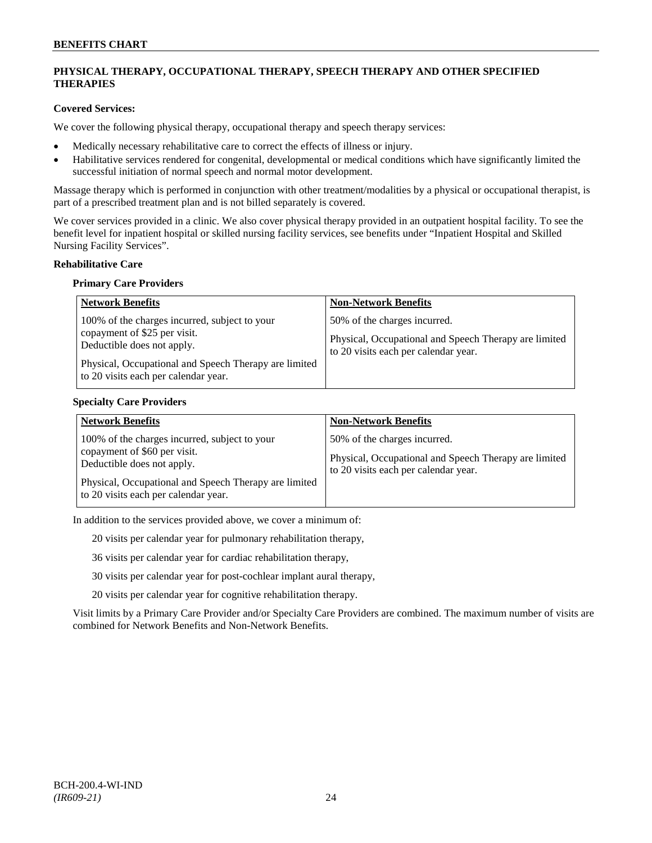# **PHYSICAL THERAPY, OCCUPATIONAL THERAPY, SPEECH THERAPY AND OTHER SPECIFIED THERAPIES**

### **Covered Services:**

We cover the following physical therapy, occupational therapy and speech therapy services:

- Medically necessary rehabilitative care to correct the effects of illness or injury.
- Habilitative services rendered for congenital, developmental or medical conditions which have significantly limited the successful initiation of normal speech and normal motor development.

Massage therapy which is performed in conjunction with other treatment/modalities by a physical or occupational therapist, is part of a prescribed treatment plan and is not billed separately is covered.

We cover services provided in a clinic. We also cover physical therapy provided in an outpatient hospital facility. To see the benefit level for inpatient hospital or skilled nursing facility services, see benefits under "Inpatient Hospital and Skilled Nursing Facility Services".

### **Rehabilitative Care**

#### **Primary Care Providers**

| <b>Network Benefits</b>                                                                                                                                                                                      | <b>Non-Network Benefits</b>                                                                                                   |
|--------------------------------------------------------------------------------------------------------------------------------------------------------------------------------------------------------------|-------------------------------------------------------------------------------------------------------------------------------|
| 100% of the charges incurred, subject to your<br>copayment of \$25 per visit.<br>Deductible does not apply.<br>Physical, Occupational and Speech Therapy are limited<br>to 20 visits each per calendar year. | 50% of the charges incurred.<br>Physical, Occupational and Speech Therapy are limited<br>to 20 visits each per calendar year. |

### **Specialty Care Providers**

| <b>Network Benefits</b>                                                                                                                                                                                      | <b>Non-Network Benefits</b>                                                                                                   |
|--------------------------------------------------------------------------------------------------------------------------------------------------------------------------------------------------------------|-------------------------------------------------------------------------------------------------------------------------------|
| 100% of the charges incurred, subject to your<br>copayment of \$60 per visit.<br>Deductible does not apply.<br>Physical, Occupational and Speech Therapy are limited<br>to 20 visits each per calendar year. | 50% of the charges incurred.<br>Physical, Occupational and Speech Therapy are limited<br>to 20 visits each per calendar year. |

In addition to the services provided above, we cover a minimum of:

20 visits per calendar year for pulmonary rehabilitation therapy,

36 visits per calendar year for cardiac rehabilitation therapy,

30 visits per calendar year for post-cochlear implant aural therapy,

20 visits per calendar year for cognitive rehabilitation therapy.

Visit limits by a Primary Care Provider and/or Specialty Care Providers are combined. The maximum number of visits are combined for Network Benefits and Non-Network Benefits.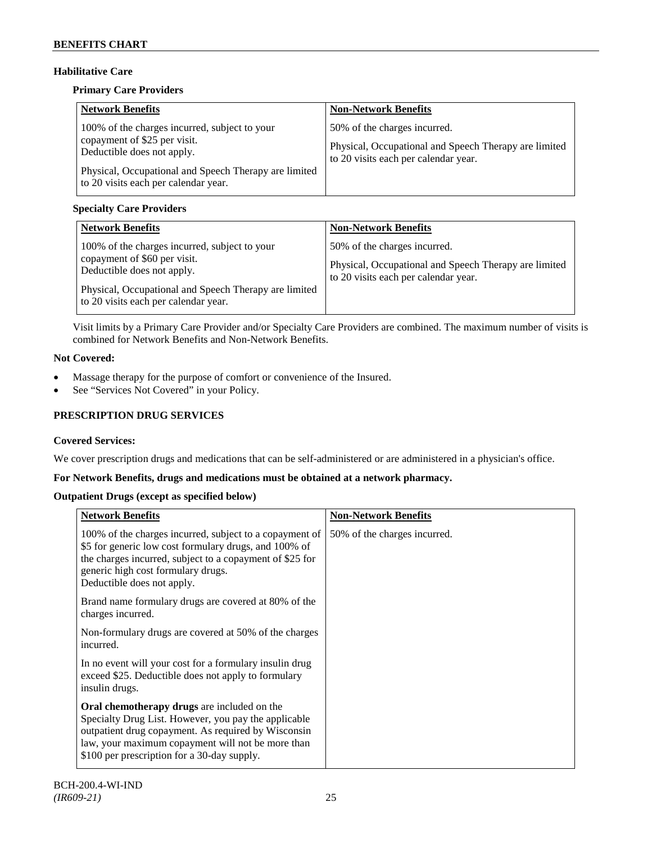# **Habilitative Care**

### **Primary Care Providers**

| <b>Network Benefits</b>                                                                                                                                                                                      | <b>Non-Network Benefits</b>                                                                                                   |
|--------------------------------------------------------------------------------------------------------------------------------------------------------------------------------------------------------------|-------------------------------------------------------------------------------------------------------------------------------|
| 100% of the charges incurred, subject to your<br>copayment of \$25 per visit.<br>Deductible does not apply.<br>Physical, Occupational and Speech Therapy are limited<br>to 20 visits each per calendar year. | 50% of the charges incurred.<br>Physical, Occupational and Speech Therapy are limited<br>to 20 visits each per calendar year. |

# **Specialty Care Providers**

| <b>Network Benefits</b>                                                                                                                                                                                      | <b>Non-Network Benefits</b>                                                                                                   |
|--------------------------------------------------------------------------------------------------------------------------------------------------------------------------------------------------------------|-------------------------------------------------------------------------------------------------------------------------------|
| 100% of the charges incurred, subject to your<br>copayment of \$60 per visit.<br>Deductible does not apply.<br>Physical, Occupational and Speech Therapy are limited<br>to 20 visits each per calendar year. | 50% of the charges incurred.<br>Physical, Occupational and Speech Therapy are limited<br>to 20 visits each per calendar year. |

Visit limits by a Primary Care Provider and/or Specialty Care Providers are combined. The maximum number of visits is combined for Network Benefits and Non-Network Benefits.

# **Not Covered:**

- Massage therapy for the purpose of comfort or convenience of the Insured.
- See "Services Not Covered" in your Policy.

# **PRESCRIPTION DRUG SERVICES**

# **Covered Services:**

We cover prescription drugs and medications that can be self-administered or are administered in a physician's office.

### **For Network Benefits, drugs and medications must be obtained at a network pharmacy.**

### **Outpatient Drugs (except as specified below)**

| <b>Network Benefits</b>                                                                                                                                                                                                                                        | <b>Non-Network Benefits</b>  |
|----------------------------------------------------------------------------------------------------------------------------------------------------------------------------------------------------------------------------------------------------------------|------------------------------|
| 100% of the charges incurred, subject to a copayment of<br>\$5 for generic low cost formulary drugs, and 100% of<br>the charges incurred, subject to a copayment of \$25 for<br>generic high cost formulary drugs.<br>Deductible does not apply.               | 50% of the charges incurred. |
| Brand name formulary drugs are covered at 80% of the<br>charges incurred.                                                                                                                                                                                      |                              |
| Non-formulary drugs are covered at 50% of the charges<br>incurred.                                                                                                                                                                                             |                              |
| In no event will your cost for a formulary insulin drug<br>exceed \$25. Deductible does not apply to formulary<br>insulin drugs.                                                                                                                               |                              |
| Oral chemotherapy drugs are included on the<br>Specialty Drug List. However, you pay the applicable<br>outpatient drug copayment. As required by Wisconsin<br>law, your maximum copayment will not be more than<br>\$100 per prescription for a 30-day supply. |                              |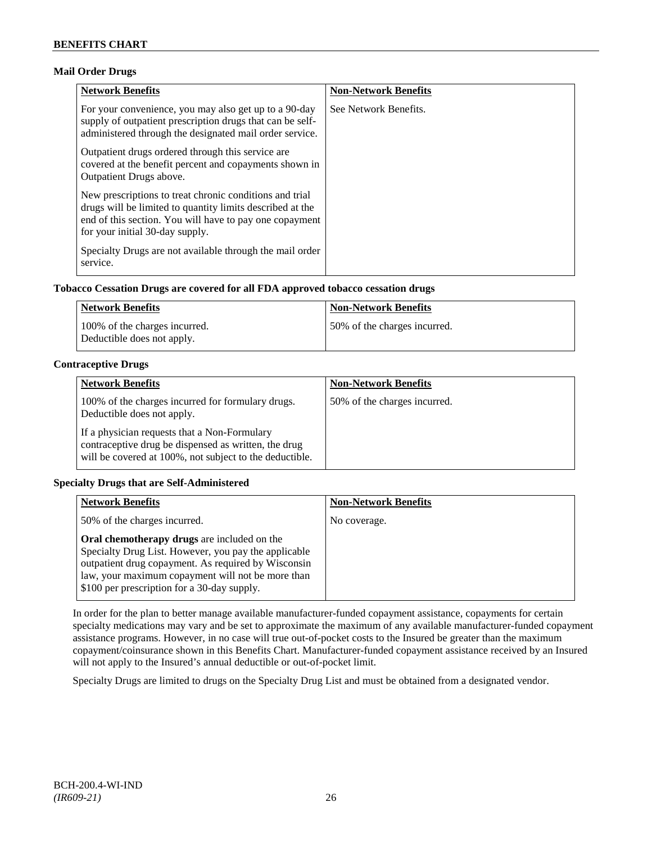### **Mail Order Drugs**

| <b>Network Benefits</b>                                                                                                                                                                                            | <b>Non-Network Benefits</b> |
|--------------------------------------------------------------------------------------------------------------------------------------------------------------------------------------------------------------------|-----------------------------|
| For your convenience, you may also get up to a 90-day<br>supply of outpatient prescription drugs that can be self-<br>administered through the designated mail order service.                                      | See Network Benefits.       |
| Outpatient drugs ordered through this service are.<br>covered at the benefit percent and copayments shown in<br><b>Outpatient Drugs above.</b>                                                                     |                             |
| New prescriptions to treat chronic conditions and trial<br>drugs will be limited to quantity limits described at the<br>end of this section. You will have to pay one copayment<br>for your initial 30-day supply. |                             |
| Specialty Drugs are not available through the mail order<br>service.                                                                                                                                               |                             |

# **Tobacco Cessation Drugs are covered for all FDA approved tobacco cessation drugs**

| Network Benefits                                            | <b>Non-Network Benefits</b>  |
|-------------------------------------------------------------|------------------------------|
| 100% of the charges incurred.<br>Deductible does not apply. | 50% of the charges incurred. |

# **Contraceptive Drugs**

| <b>Network Benefits</b>                                                                                                                                         | <b>Non-Network Benefits</b>  |
|-----------------------------------------------------------------------------------------------------------------------------------------------------------------|------------------------------|
| 100% of the charges incurred for formulary drugs.<br>Deductible does not apply.                                                                                 | 50% of the charges incurred. |
| If a physician requests that a Non-Formulary<br>contraceptive drug be dispensed as written, the drug<br>will be covered at 100%, not subject to the deductible. |                              |

### **Specialty Drugs that are Self-Administered**

| <b>Network Benefits</b>                                                                                                                                                                                                                                        | <b>Non-Network Benefits</b> |
|----------------------------------------------------------------------------------------------------------------------------------------------------------------------------------------------------------------------------------------------------------------|-----------------------------|
| 50% of the charges incurred.                                                                                                                                                                                                                                   | No coverage.                |
| Oral chemotherapy drugs are included on the<br>Specialty Drug List. However, you pay the applicable<br>outpatient drug copayment. As required by Wisconsin<br>law, your maximum copayment will not be more than<br>\$100 per prescription for a 30-day supply. |                             |

In order for the plan to better manage available manufacturer-funded copayment assistance, copayments for certain specialty medications may vary and be set to approximate the maximum of any available manufacturer-funded copayment assistance programs. However, in no case will true out-of-pocket costs to the Insured be greater than the maximum copayment/coinsurance shown in this Benefits Chart. Manufacturer-funded copayment assistance received by an Insured will not apply to the Insured's annual deductible or out-of-pocket limit.

Specialty Drugs are limited to drugs on the Specialty Drug List and must be obtained from a designated vendor.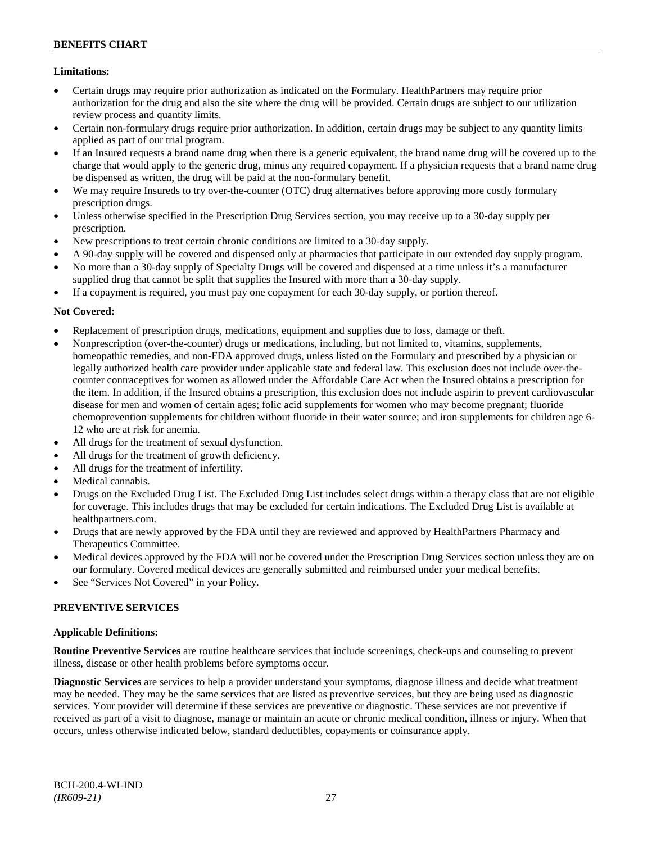### **Limitations:**

- Certain drugs may require prior authorization as indicated on the Formulary. HealthPartners may require prior authorization for the drug and also the site where the drug will be provided. Certain drugs are subject to our utilization review process and quantity limits.
- Certain non-formulary drugs require prior authorization. In addition, certain drugs may be subject to any quantity limits applied as part of our trial program.
- If an Insured requests a brand name drug when there is a generic equivalent, the brand name drug will be covered up to the charge that would apply to the generic drug, minus any required copayment. If a physician requests that a brand name drug be dispensed as written, the drug will be paid at the non-formulary benefit.
- We may require Insureds to try over-the-counter (OTC) drug alternatives before approving more costly formulary prescription drugs.
- Unless otherwise specified in the Prescription Drug Services section, you may receive up to a 30-day supply per prescription.
- New prescriptions to treat certain chronic conditions are limited to a 30-day supply.
- A 90-day supply will be covered and dispensed only at pharmacies that participate in our extended day supply program.
- No more than a 30-day supply of Specialty Drugs will be covered and dispensed at a time unless it's a manufacturer supplied drug that cannot be split that supplies the Insured with more than a 30-day supply.
- If a copayment is required, you must pay one copayment for each 30-day supply, or portion thereof.

# **Not Covered:**

- Replacement of prescription drugs, medications, equipment and supplies due to loss, damage or theft.
- Nonprescription (over-the-counter) drugs or medications, including, but not limited to, vitamins, supplements, homeopathic remedies, and non-FDA approved drugs, unless listed on the Formulary and prescribed by a physician or legally authorized health care provider under applicable state and federal law. This exclusion does not include over-thecounter contraceptives for women as allowed under the Affordable Care Act when the Insured obtains a prescription for the item. In addition, if the Insured obtains a prescription, this exclusion does not include aspirin to prevent cardiovascular disease for men and women of certain ages; folic acid supplements for women who may become pregnant; fluoride chemoprevention supplements for children without fluoride in their water source; and iron supplements for children age 6- 12 who are at risk for anemia.
- All drugs for the treatment of sexual dysfunction.
- All drugs for the treatment of growth deficiency.
- All drugs for the treatment of infertility.
- Medical cannabis.
- Drugs on the Excluded Drug List. The Excluded Drug List includes select drugs within a therapy class that are not eligible for coverage. This includes drugs that may be excluded for certain indications. The Excluded Drug List is available at [healthpartners.com.](http://www.healthpartners.com/)
- Drugs that are newly approved by the FDA until they are reviewed and approved by HealthPartners Pharmacy and Therapeutics Committee.
- Medical devices approved by the FDA will not be covered under the Prescription Drug Services section unless they are on our formulary. Covered medical devices are generally submitted and reimbursed under your medical benefits.
- See "Services Not Covered" in your Policy.

### **PREVENTIVE SERVICES**

### **Applicable Definitions:**

**Routine Preventive Services** are routine healthcare services that include screenings, check-ups and counseling to prevent illness, disease or other health problems before symptoms occur.

**Diagnostic Services** are services to help a provider understand your symptoms, diagnose illness and decide what treatment may be needed. They may be the same services that are listed as preventive services, but they are being used as diagnostic services. Your provider will determine if these services are preventive or diagnostic. These services are not preventive if received as part of a visit to diagnose, manage or maintain an acute or chronic medical condition, illness or injury. When that occurs, unless otherwise indicated below, standard deductibles, copayments or coinsurance apply.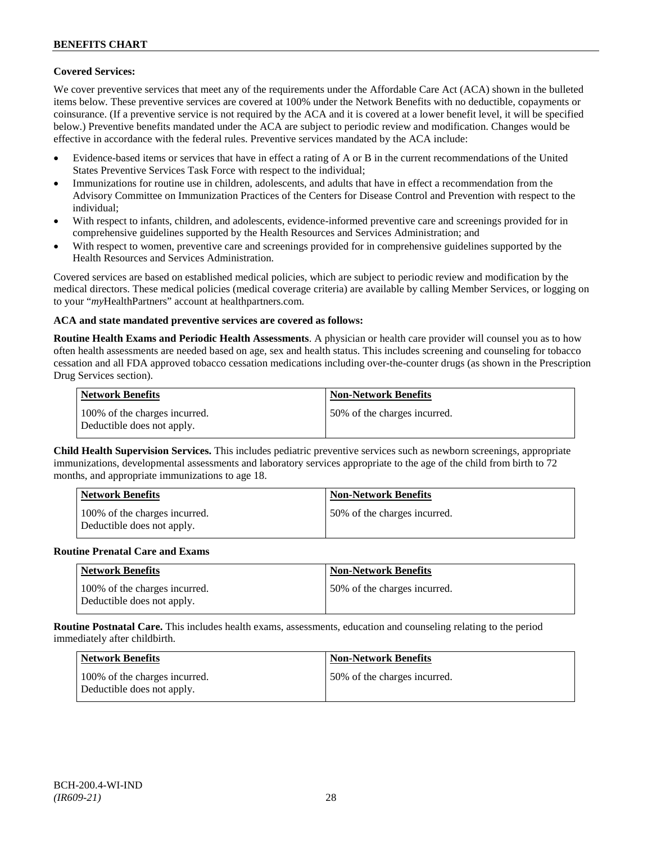### **Covered Services:**

We cover preventive services that meet any of the requirements under the Affordable Care Act (ACA) shown in the bulleted items below. These preventive services are covered at 100% under the Network Benefits with no deductible, copayments or coinsurance. (If a preventive service is not required by the ACA and it is covered at a lower benefit level, it will be specified below.) Preventive benefits mandated under the ACA are subject to periodic review and modification. Changes would be effective in accordance with the federal rules. Preventive services mandated by the ACA include:

- Evidence-based items or services that have in effect a rating of A or B in the current recommendations of the United States Preventive Services Task Force with respect to the individual;
- Immunizations for routine use in children, adolescents, and adults that have in effect a recommendation from the Advisory Committee on Immunization Practices of the Centers for Disease Control and Prevention with respect to the individual;
- With respect to infants, children, and adolescents, evidence-informed preventive care and screenings provided for in comprehensive guidelines supported by the Health Resources and Services Administration; and
- With respect to women, preventive care and screenings provided for in comprehensive guidelines supported by the Health Resources and Services Administration.

Covered services are based on established medical policies, which are subject to periodic review and modification by the medical directors. These medical policies (medical coverage criteria) are available by calling Member Services, or logging on to your "*my*HealthPartners" account at [healthpartners.com.](http://www.healthpartners.com/)

### **ACA and state mandated preventive services are covered as follows:**

**Routine Health Exams and Periodic Health Assessments**. A physician or health care provider will counsel you as to how often health assessments are needed based on age, sex and health status. This includes screening and counseling for tobacco cessation and all FDA approved tobacco cessation medications including over-the-counter drugs (as shown in the Prescription Drug Services section).

| <b>Network Benefits</b>                                     | <b>Non-Network Benefits</b>  |
|-------------------------------------------------------------|------------------------------|
| 100% of the charges incurred.<br>Deductible does not apply. | 50% of the charges incurred. |

**Child Health Supervision Services.** This includes pediatric preventive services such as newborn screenings, appropriate immunizations, developmental assessments and laboratory services appropriate to the age of the child from birth to 72 months, and appropriate immunizations to age 18.

| <b>Network Benefits</b>                                     | <b>Non-Network Benefits</b>   |
|-------------------------------------------------------------|-------------------------------|
| 100% of the charges incurred.<br>Deductible does not apply. | 150% of the charges incurred. |

#### **Routine Prenatal Care and Exams**

| <b>Network Benefits</b>                                     | <b>Non-Network Benefits</b>  |
|-------------------------------------------------------------|------------------------------|
| 100% of the charges incurred.<br>Deductible does not apply. | 50% of the charges incurred. |

**Routine Postnatal Care.** This includes health exams, assessments, education and counseling relating to the period immediately after childbirth.

| <b>Network Benefits</b>                                     | <b>Non-Network Benefits</b>  |
|-------------------------------------------------------------|------------------------------|
| 100% of the charges incurred.<br>Deductible does not apply. | 50% of the charges incurred. |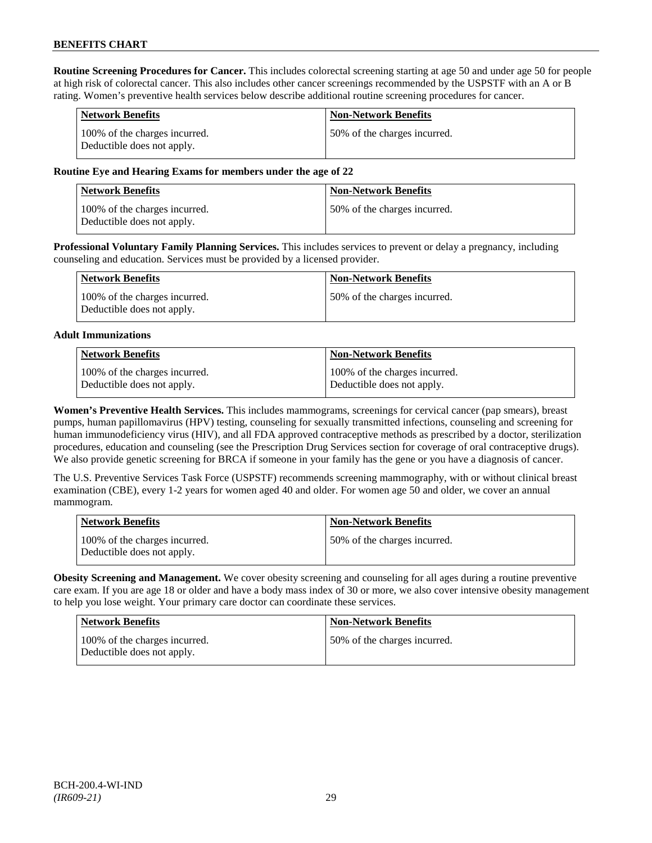**Routine Screening Procedures for Cancer.** This includes colorectal screening starting at age 50 and under age 50 for people at high risk of colorectal cancer. This also includes other cancer screenings recommended by the USPSTF with an A or B rating. Women's preventive health services below describe additional routine screening procedures for cancer.

| <b>Network Benefits</b>                                     | <b>Non-Network Benefits</b>  |
|-------------------------------------------------------------|------------------------------|
| 100% of the charges incurred.<br>Deductible does not apply. | 50% of the charges incurred. |

### **Routine Eye and Hearing Exams for members under the age of 22**

| <b>Network Benefits</b>                                     | <b>Non-Network Benefits</b>  |
|-------------------------------------------------------------|------------------------------|
| 100% of the charges incurred.<br>Deductible does not apply. | 50% of the charges incurred. |

**Professional Voluntary Family Planning Services.** This includes services to prevent or delay a pregnancy, including counseling and education. Services must be provided by a licensed provider.

| Network Benefits                                            | <b>Non-Network Benefits</b>   |
|-------------------------------------------------------------|-------------------------------|
| 100% of the charges incurred.<br>Deductible does not apply. | 150% of the charges incurred. |

### **Adult Immunizations**

| Network Benefits              | Non-Network Benefits          |
|-------------------------------|-------------------------------|
| 100% of the charges incurred. | 100% of the charges incurred. |
| Deductible does not apply.    | Deductible does not apply.    |

**Women's Preventive Health Services.** This includes mammograms, screenings for cervical cancer (pap smears), breast pumps, human papillomavirus (HPV) testing, counseling for sexually transmitted infections, counseling and screening for human immunodeficiency virus (HIV), and all FDA approved contraceptive methods as prescribed by a doctor, sterilization procedures, education and counseling (see the Prescription Drug Services section for coverage of oral contraceptive drugs). We also provide genetic screening for BRCA if someone in your family has the gene or you have a diagnosis of cancer.

The U.S. Preventive Services Task Force (USPSTF) recommends screening mammography, with or without clinical breast examination (CBE), every 1-2 years for women aged 40 and older. For women age 50 and older, we cover an annual mammogram.

| <b>Network Benefits</b>                                     | <b>Non-Network Benefits</b>  |
|-------------------------------------------------------------|------------------------------|
| 100% of the charges incurred.<br>Deductible does not apply. | 50% of the charges incurred. |

**Obesity Screening and Management.** We cover obesity screening and counseling for all ages during a routine preventive care exam. If you are age 18 or older and have a body mass index of 30 or more, we also cover intensive obesity management to help you lose weight. Your primary care doctor can coordinate these services.

| <b>Network Benefits</b>                                     | <b>Non-Network Benefits</b>  |
|-------------------------------------------------------------|------------------------------|
| 100% of the charges incurred.<br>Deductible does not apply. | 50% of the charges incurred. |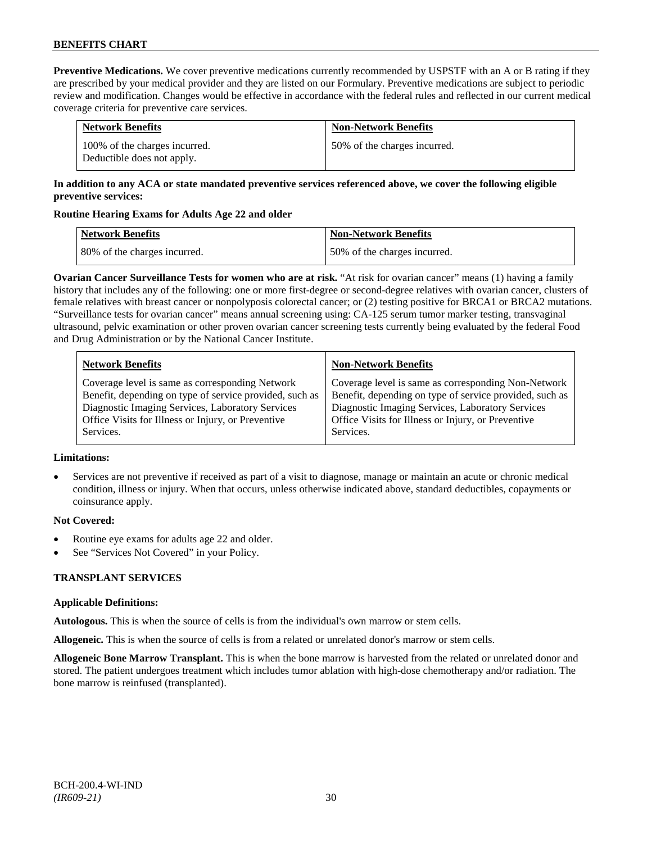**Preventive Medications.** We cover preventive medications currently recommended by USPSTF with an A or B rating if they are prescribed by your medical provider and they are listed on our Formulary. Preventive medications are subject to periodic review and modification. Changes would be effective in accordance with the federal rules and reflected in our current medical coverage criteria for preventive care services.

| <b>Network Benefits</b>                                     | <b>Non-Network Benefits</b>  |
|-------------------------------------------------------------|------------------------------|
| 100% of the charges incurred.<br>Deductible does not apply. | 50% of the charges incurred. |

### **In addition to any ACA or state mandated preventive services referenced above, we cover the following eligible preventive services:**

### **Routine Hearing Exams for Adults Age 22 and older**

| <b>Network Benefits</b>      | <b>Non-Network Benefits</b>  |
|------------------------------|------------------------------|
| 80% of the charges incurred. | 50% of the charges incurred. |

**Ovarian Cancer Surveillance Tests for women who are at risk.** "At risk for ovarian cancer" means (1) having a family history that includes any of the following: one or more first-degree or second-degree relatives with ovarian cancer, clusters of female relatives with breast cancer or nonpolyposis colorectal cancer; or (2) testing positive for BRCA1 or BRCA2 mutations. "Surveillance tests for ovarian cancer" means annual screening using: CA-125 serum tumor marker testing, transvaginal ultrasound, pelvic examination or other proven ovarian cancer screening tests currently being evaluated by the federal Food and Drug Administration or by the National Cancer Institute.

| <b>Network Benefits</b>                                 | <b>Non-Network Benefits</b>                             |
|---------------------------------------------------------|---------------------------------------------------------|
| Coverage level is same as corresponding Network         | Coverage level is same as corresponding Non-Network     |
| Benefit, depending on type of service provided, such as | Benefit, depending on type of service provided, such as |
| Diagnostic Imaging Services, Laboratory Services        | Diagnostic Imaging Services, Laboratory Services        |
| Office Visits for Illness or Injury, or Preventive      | Office Visits for Illness or Injury, or Preventive      |
| Services.                                               | Services.                                               |

### **Limitations:**

• Services are not preventive if received as part of a visit to diagnose, manage or maintain an acute or chronic medical condition, illness or injury. When that occurs, unless otherwise indicated above, standard deductibles, copayments or coinsurance apply.

### **Not Covered:**

- Routine eye exams for adults age 22 and older.
- See "Services Not Covered" in your Policy.

# **TRANSPLANT SERVICES**

### **Applicable Definitions:**

**Autologous.** This is when the source of cells is from the individual's own marrow or stem cells.

**Allogeneic.** This is when the source of cells is from a related or unrelated donor's marrow or stem cells.

**Allogeneic Bone Marrow Transplant.** This is when the bone marrow is harvested from the related or unrelated donor and stored. The patient undergoes treatment which includes tumor ablation with high-dose chemotherapy and/or radiation. The bone marrow is reinfused (transplanted).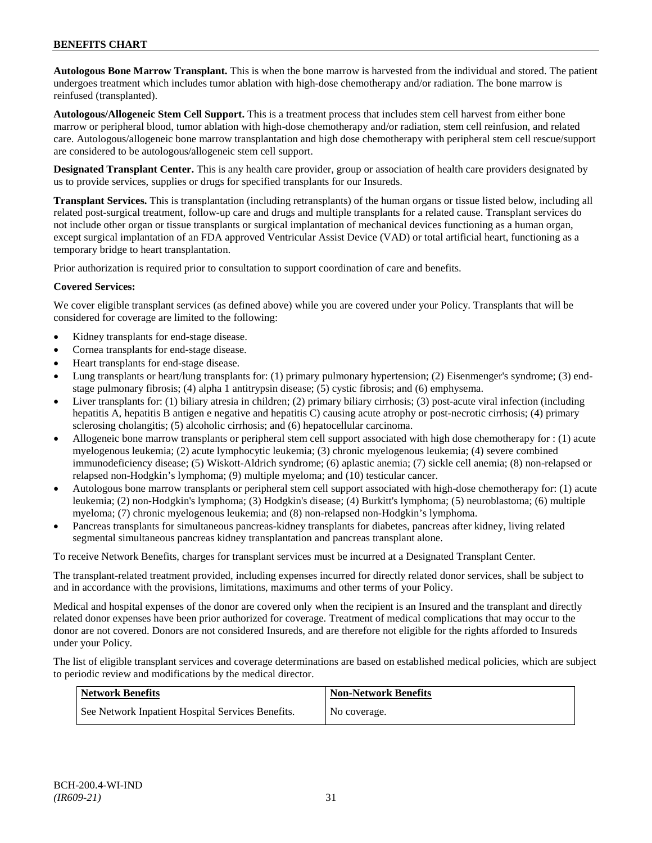# **BENEFITS CHART**

**Autologous Bone Marrow Transplant.** This is when the bone marrow is harvested from the individual and stored. The patient undergoes treatment which includes tumor ablation with high-dose chemotherapy and/or radiation. The bone marrow is reinfused (transplanted).

**Autologous/Allogeneic Stem Cell Support.** This is a treatment process that includes stem cell harvest from either bone marrow or peripheral blood, tumor ablation with high-dose chemotherapy and/or radiation, stem cell reinfusion, and related care. Autologous/allogeneic bone marrow transplantation and high dose chemotherapy with peripheral stem cell rescue/support are considered to be autologous/allogeneic stem cell support.

**Designated Transplant Center.** This is any health care provider, group or association of health care providers designated by us to provide services, supplies or drugs for specified transplants for our Insureds.

**Transplant Services.** This is transplantation (including retransplants) of the human organs or tissue listed below, including all related post-surgical treatment, follow-up care and drugs and multiple transplants for a related cause. Transplant services do not include other organ or tissue transplants or surgical implantation of mechanical devices functioning as a human organ, except surgical implantation of an FDA approved Ventricular Assist Device (VAD) or total artificial heart, functioning as a temporary bridge to heart transplantation.

Prior authorization is required prior to consultation to support coordination of care and benefits.

### **Covered Services:**

We cover eligible transplant services (as defined above) while you are covered under your Policy. Transplants that will be considered for coverage are limited to the following:

- Kidney transplants for end-stage disease.
- Cornea transplants for end-stage disease.
- Heart transplants for end-stage disease.
- Lung transplants or heart/lung transplants for: (1) primary pulmonary hypertension; (2) Eisenmenger's syndrome; (3) endstage pulmonary fibrosis; (4) alpha 1 antitrypsin disease; (5) cystic fibrosis; and (6) emphysema.
- Liver transplants for: (1) biliary atresia in children; (2) primary biliary cirrhosis; (3) post-acute viral infection (including hepatitis A, hepatitis B antigen e negative and hepatitis C) causing acute atrophy or post-necrotic cirrhosis; (4) primary sclerosing cholangitis; (5) alcoholic cirrhosis; and (6) hepatocellular carcinoma.
- Allogeneic bone marrow transplants or peripheral stem cell support associated with high dose chemotherapy for : (1) acute myelogenous leukemia; (2) acute lymphocytic leukemia; (3) chronic myelogenous leukemia; (4) severe combined immunodeficiency disease; (5) Wiskott-Aldrich syndrome; (6) aplastic anemia; (7) sickle cell anemia; (8) non-relapsed or relapsed non-Hodgkin's lymphoma; (9) multiple myeloma; and (10) testicular cancer.
- Autologous bone marrow transplants or peripheral stem cell support associated with high-dose chemotherapy for: (1) acute leukemia; (2) non-Hodgkin's lymphoma; (3) Hodgkin's disease; (4) Burkitt's lymphoma; (5) neuroblastoma; (6) multiple myeloma; (7) chronic myelogenous leukemia; and (8) non-relapsed non-Hodgkin's lymphoma.
- Pancreas transplants for simultaneous pancreas-kidney transplants for diabetes, pancreas after kidney, living related segmental simultaneous pancreas kidney transplantation and pancreas transplant alone.

To receive Network Benefits, charges for transplant services must be incurred at a Designated Transplant Center.

The transplant-related treatment provided, including expenses incurred for directly related donor services, shall be subject to and in accordance with the provisions, limitations, maximums and other terms of your Policy.

Medical and hospital expenses of the donor are covered only when the recipient is an Insured and the transplant and directly related donor expenses have been prior authorized for coverage. Treatment of medical complications that may occur to the donor are not covered. Donors are not considered Insureds, and are therefore not eligible for the rights afforded to Insureds under your Policy.

The list of eligible transplant services and coverage determinations are based on established medical policies, which are subject to periodic review and modifications by the medical director.

| <b>Network Benefits</b>                           | <b>Non-Network Benefits</b> |
|---------------------------------------------------|-----------------------------|
| See Network Inpatient Hospital Services Benefits. | No coverage.                |